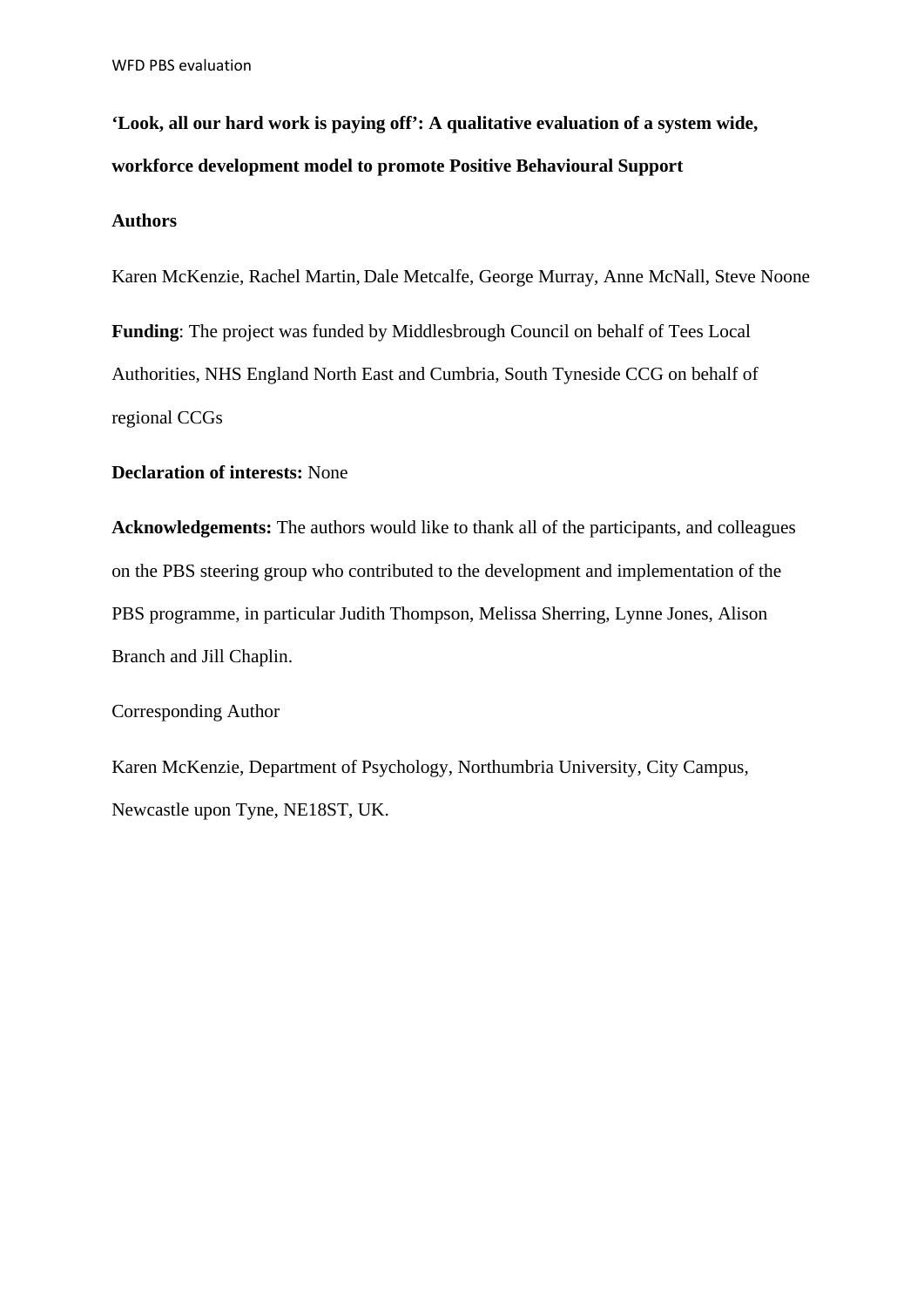**'Look, all our hard work is paying off': A qualitative evaluation of a system wide, workforce development model to promote Positive Behavioural Support**

### **Authors**

Karen McKenzie, Rachel Martin, Dale Metcalfe, George Murray, Anne McNall, Steve Noone

**Funding**: The project was funded by Middlesbrough Council on behalf of Tees Local Authorities, NHS England North East and Cumbria, South Tyneside CCG on behalf of regional CCGs

### **Declaration of interests:** None

**Acknowledgements:** The authors would like to thank all of the participants, and colleagues on the PBS steering group who contributed to the development and implementation of the PBS programme, in particular Judith Thompson, Melissa Sherring, Lynne Jones, Alison Branch and Jill Chaplin.

Corresponding Author

Karen McKenzie, Department of Psychology, Northumbria University, City Campus, Newcastle upon Tyne, NE18ST, UK.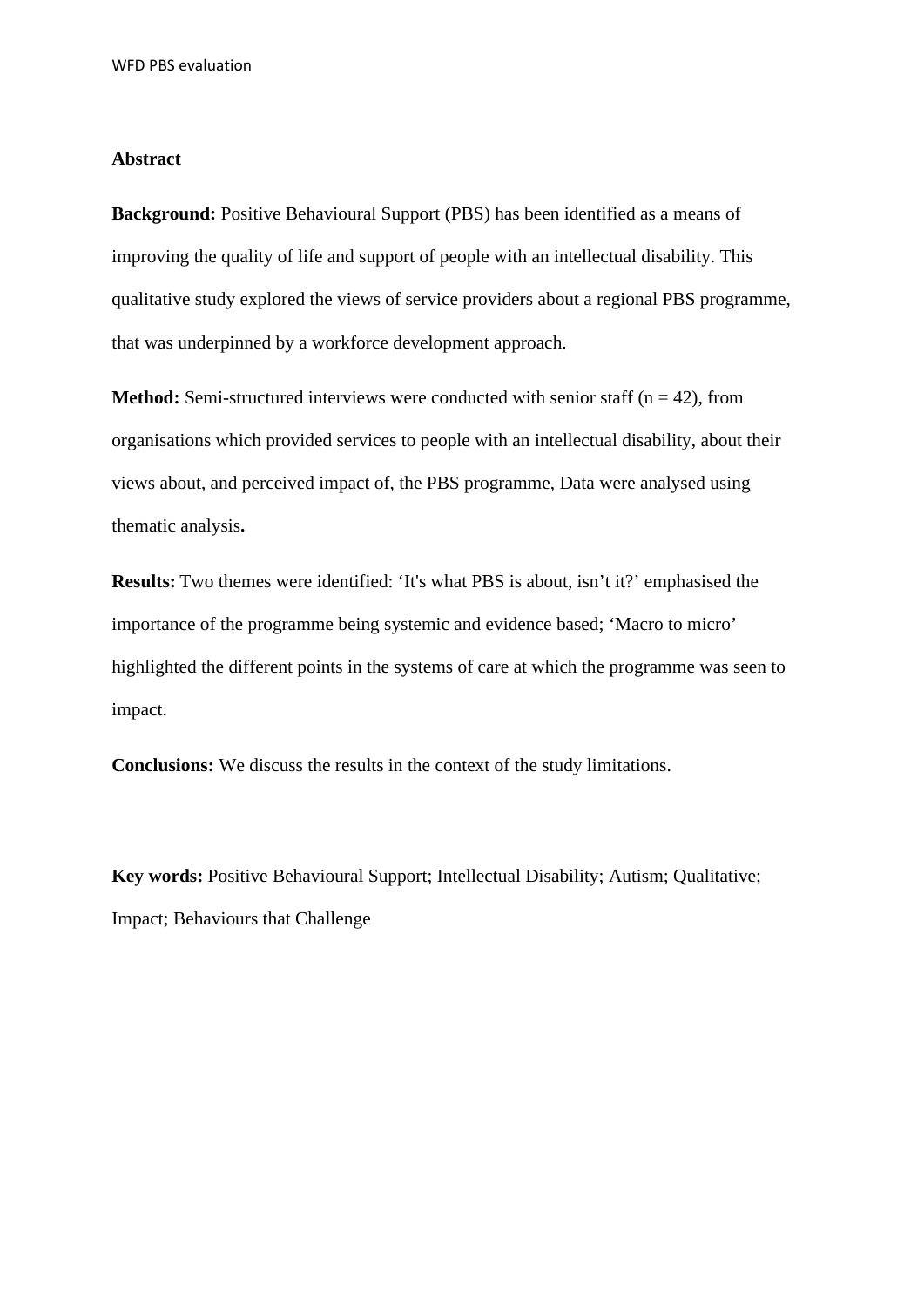#### **Abstract**

**Background:** Positive Behavioural Support (PBS) has been identified as a means of improving the quality of life and support of people with an intellectual disability. This qualitative study explored the views of service providers about a regional PBS programme, that was underpinned by a workforce development approach.

**Method:** Semi-structured interviews were conducted with senior staff ( $n = 42$ ), from organisations which provided services to people with an intellectual disability, about their views about, and perceived impact of, the PBS programme, Data were analysed using thematic analysis**.**

**Results:** Two themes were identified: 'It's what PBS is about, isn't it?' emphasised the importance of the programme being systemic and evidence based; 'Macro to micro' highlighted the different points in the systems of care at which the programme was seen to impact.

**Conclusions:** We discuss the results in the context of the study limitations.

**Key words:** Positive Behavioural Support; Intellectual Disability; Autism; Qualitative; Impact; Behaviours that Challenge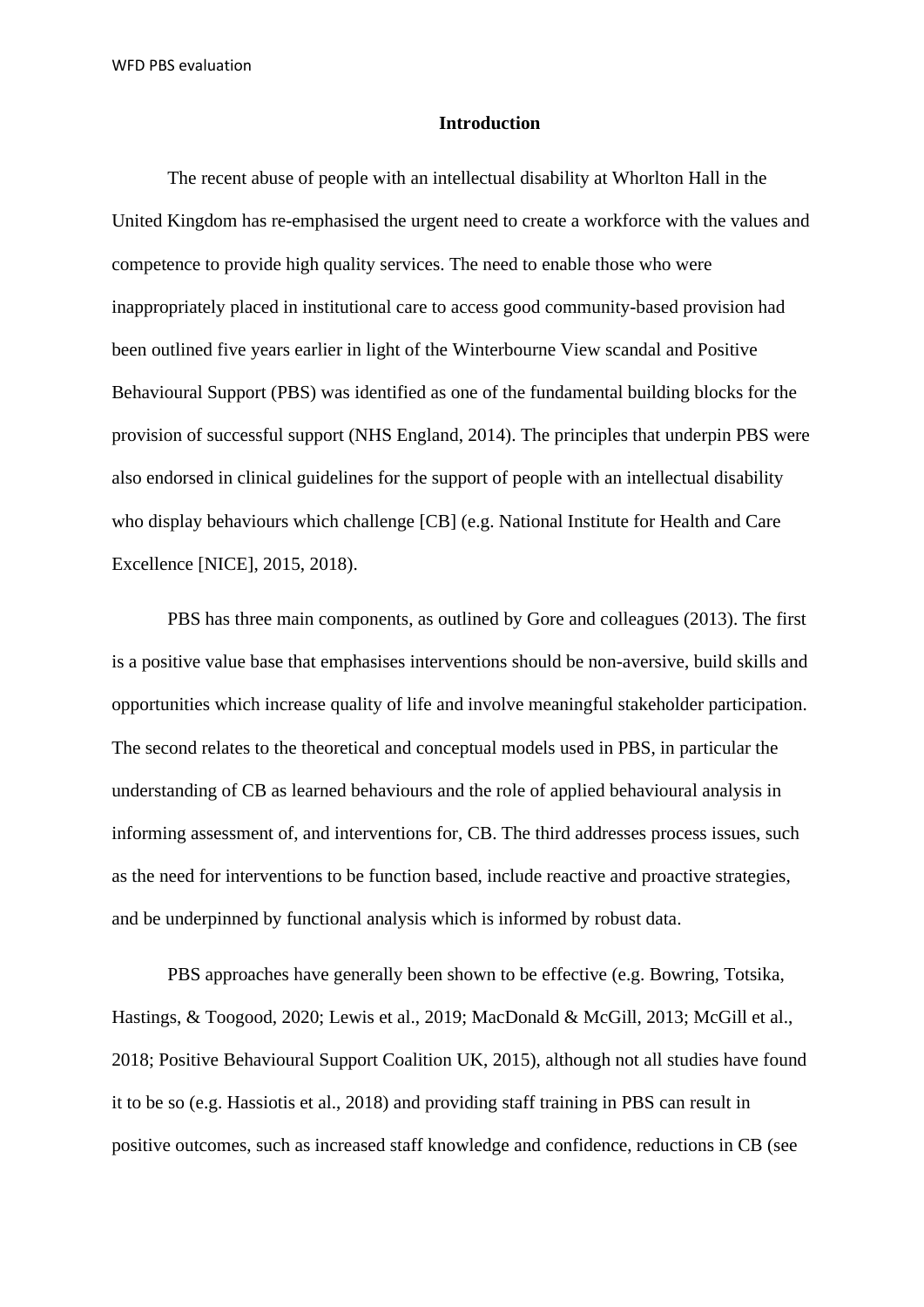#### **Introduction**

The recent abuse of people with an intellectual disability at Whorlton Hall in the United Kingdom has re-emphasised the urgent need to create a workforce with the values and competence to provide high quality services. The need to enable those who were inappropriately placed in institutional care to access good community-based provision had been outlined five years earlier in light of the Winterbourne View scandal and Positive Behavioural Support (PBS) was identified as one of the fundamental building blocks for the provision of successful support (NHS England, 2014). The principles that underpin PBS were also endorsed in clinical guidelines for the support of people with an intellectual disability who display behaviours which challenge [CB] (e.g. National Institute for Health and Care Excellence [NICE], 2015, 2018).

PBS has three main components, as outlined by Gore and colleagues (2013). The first is a positive value base that emphasises interventions should be non-aversive, build skills and opportunities which increase quality of life and involve meaningful stakeholder participation. The second relates to the theoretical and conceptual models used in PBS, in particular the understanding of CB as learned behaviours and the role of applied behavioural analysis in informing assessment of, and interventions for, CB. The third addresses process issues, such as the need for interventions to be function based, include reactive and proactive strategies, and be underpinned by functional analysis which is informed by robust data.

PBS approaches have generally been shown to be effective (e.g. Bowring, Totsika, Hastings, & Toogood, 2020; Lewis et al., 2019; MacDonald & McGill, 2013; McGill et al., 2018; Positive Behavioural Support Coalition UK, 2015), although not all studies have found it to be so (e.g. Hassiotis et al., 2018) and providing staff training in PBS can result in positive outcomes, such as increased staff knowledge and confidence, reductions in CB (see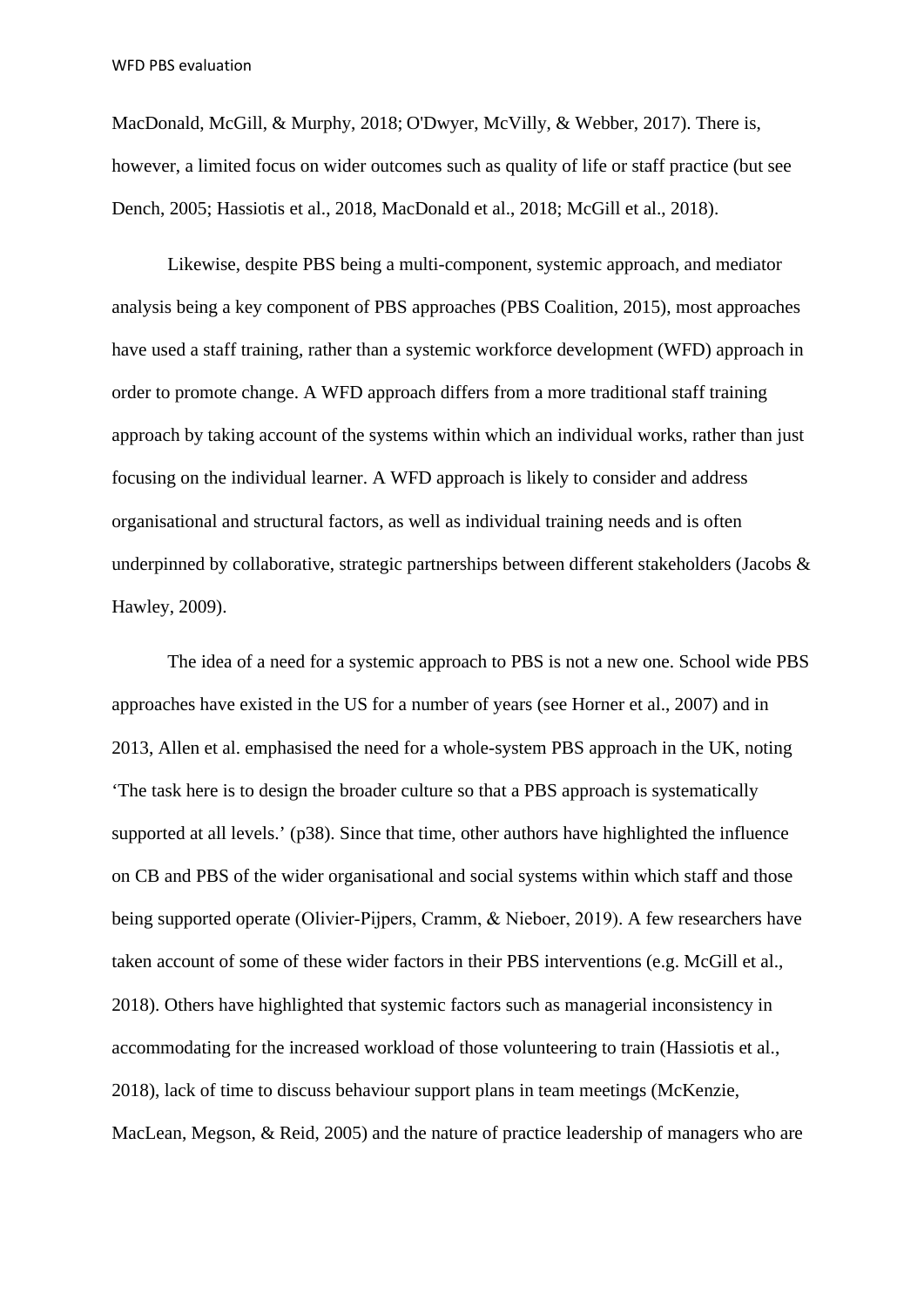MacDonald, McGill, & Murphy, 2018; O'Dwyer, McVilly, & Webber, 2017). There is, however, a limited focus on wider outcomes such as quality of life or staff practice (but see Dench, 2005; Hassiotis et al., 2018, MacDonald et al., 2018; McGill et al., 2018).

Likewise, despite PBS being a multi-component, systemic approach, and mediator analysis being a key component of PBS approaches (PBS Coalition, 2015), most approaches have used a staff training, rather than a systemic workforce development (WFD) approach in order to promote change. A WFD approach differs from a more traditional staff training approach by taking account of the systems within which an individual works, rather than just focusing on the individual learner. A WFD approach is likely to consider and address organisational and structural factors, as well as individual training needs and is often underpinned by collaborative, strategic partnerships between different stakeholders (Jacobs & Hawley, 2009).

The idea of a need for a systemic approach to PBS is not a new one. School wide PBS approaches have existed in the US for a number of years (see Horner et al., 2007) and in 2013, Allen et al. emphasised the need for a whole-system PBS approach in the UK, noting 'The task here is to design the broader culture so that a PBS approach is systematically supported at all levels.' (p38). Since that time, other authors have highlighted the influence on CB and PBS of the wider organisational and social systems within which staff and those being supported operate (Olivier-Pijpers, Cramm, & Nieboer, 2019). A few researchers have taken account of some of these wider factors in their PBS interventions (e.g. McGill et al., 2018). Others have highlighted that systemic factors such as managerial inconsistency in accommodating for the increased workload of those volunteering to train (Hassiotis et al., 2018), lack of time to discuss behaviour support plans in team meetings (McKenzie, MacLean, Megson, & Reid, 2005) and the nature of practice leadership of managers who are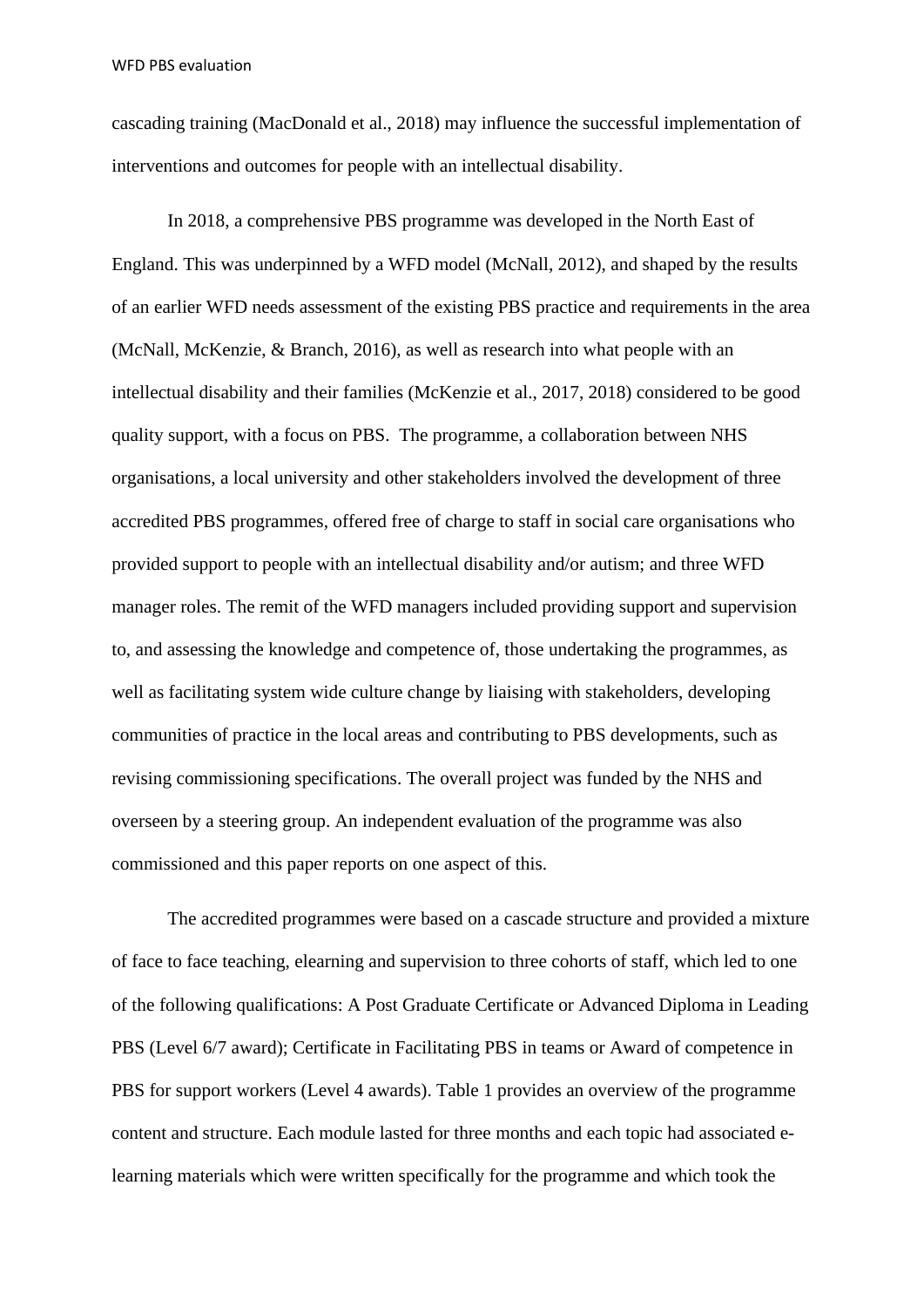cascading training (MacDonald et al., 2018) may influence the successful implementation of interventions and outcomes for people with an intellectual disability.

In 2018, a comprehensive PBS programme was developed in the North East of England. This was underpinned by a WFD model (McNall, 2012), and shaped by the results of an earlier WFD needs assessment of the existing PBS practice and requirements in the area (McNall, McKenzie, & Branch, 2016), as well as research into what people with an intellectual disability and their families (McKenzie et al., 2017, 2018) considered to be good quality support, with a focus on PBS. The programme, a collaboration between NHS organisations, a local university and other stakeholders involved the development of three accredited PBS programmes, offered free of charge to staff in social care organisations who provided support to people with an intellectual disability and/or autism; and three WFD manager roles. The remit of the WFD managers included providing support and supervision to, and assessing the knowledge and competence of, those undertaking the programmes, as well as facilitating system wide culture change by liaising with stakeholders, developing communities of practice in the local areas and contributing to PBS developments, such as revising commissioning specifications. The overall project was funded by the NHS and overseen by a steering group. An independent evaluation of the programme was also commissioned and this paper reports on one aspect of this.

The accredited programmes were based on a cascade structure and provided a mixture of face to face teaching, elearning and supervision to three cohorts of staff, which led to one of the following qualifications: A Post Graduate Certificate or Advanced Diploma in Leading PBS (Level 6/7 award); Certificate in Facilitating PBS in teams or Award of competence in PBS for support workers (Level 4 awards). Table 1 provides an overview of the programme content and structure. Each module lasted for three months and each topic had associated elearning materials which were written specifically for the programme and which took the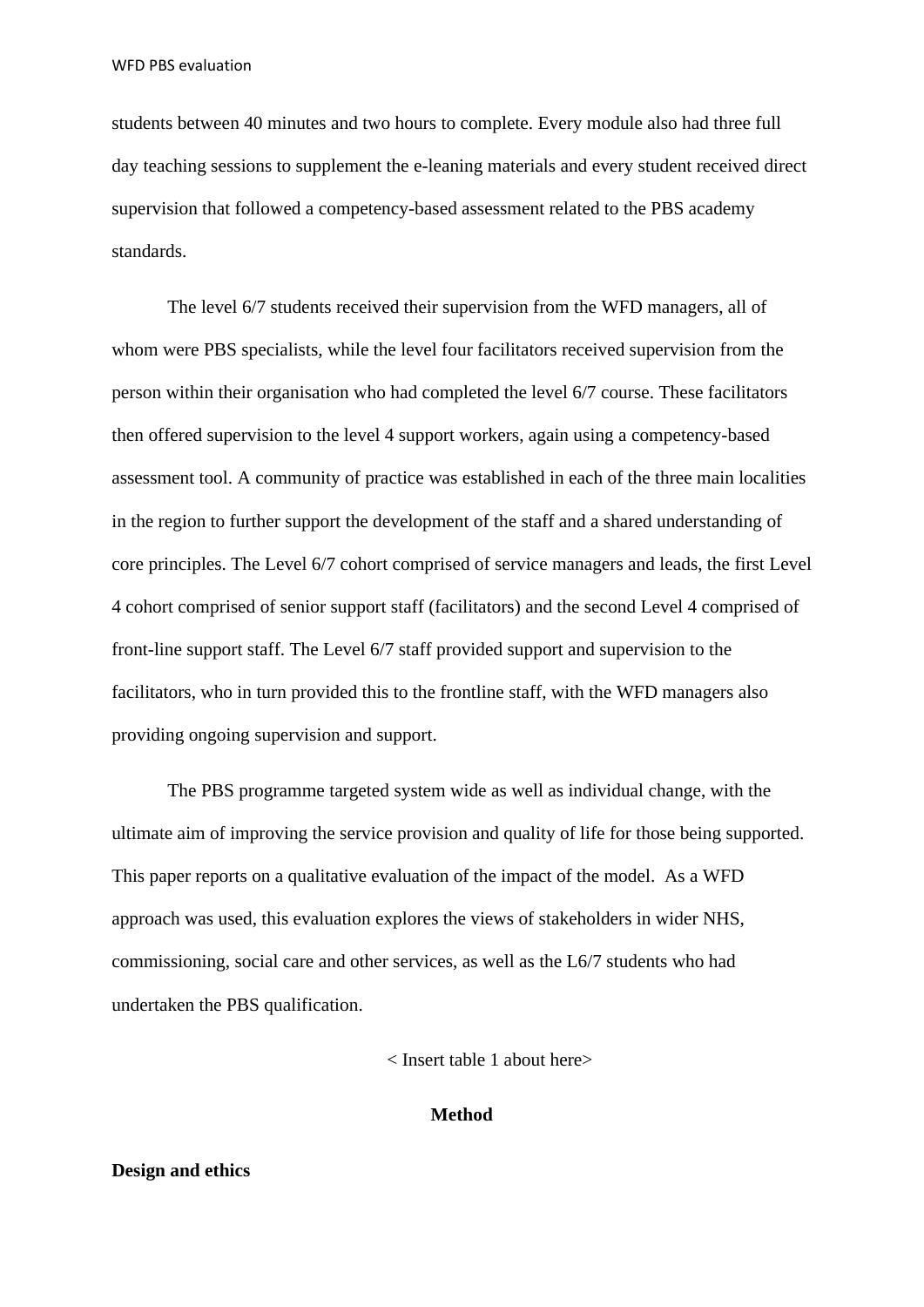students between 40 minutes and two hours to complete. Every module also had three full day teaching sessions to supplement the e-leaning materials and every student received direct supervision that followed a competency-based assessment related to the PBS academy standards.

The level 6/7 students received their supervision from the WFD managers, all of whom were PBS specialists, while the level four facilitators received supervision from the person within their organisation who had completed the level 6/7 course. These facilitators then offered supervision to the level 4 support workers, again using a competency-based assessment tool. A community of practice was established in each of the three main localities in the region to further support the development of the staff and a shared understanding of core principles. The Level 6/7 cohort comprised of service managers and leads, the first Level 4 cohort comprised of senior support staff (facilitators) and the second Level 4 comprised of front-line support staff. The Level 6/7 staff provided support and supervision to the facilitators, who in turn provided this to the frontline staff, with the WFD managers also providing ongoing supervision and support.

The PBS programme targeted system wide as well as individual change, with the ultimate aim of improving the service provision and quality of life for those being supported. This paper reports on a qualitative evaluation of the impact of the model. As a WFD approach was used, this evaluation explores the views of stakeholders in wider NHS, commissioning, social care and other services, as well as the L6/7 students who had undertaken the PBS qualification.

< Insert table 1 about here>

#### **Method**

#### **Design and ethics**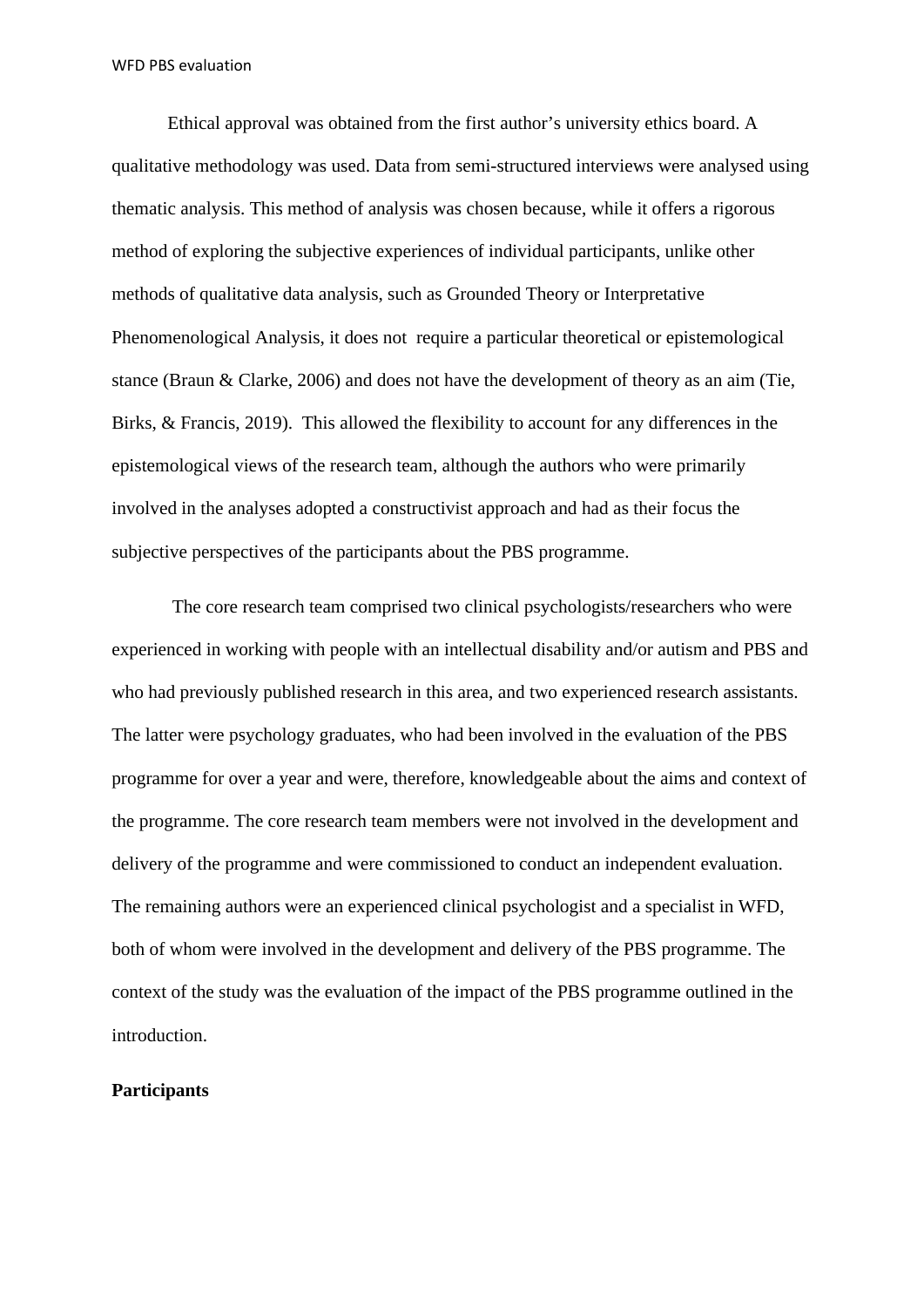Ethical approval was obtained from the first author's university ethics board. A qualitative methodology was used. Data from semi-structured interviews were analysed using thematic analysis. This method of analysis was chosen because, while it offers a rigorous method of exploring the subjective experiences of individual participants, unlike other methods of qualitative data analysis, such as Grounded Theory or Interpretative Phenomenological Analysis, it does not require a particular theoretical or epistemological stance (Braun & Clarke, 2006) and does not have the development of theory as an aim (Tie, Birks, & Francis, 2019). This allowed the flexibility to account for any differences in the epistemological views of the research team, although the authors who were primarily involved in the analyses adopted a constructivist approach and had as their focus the subjective perspectives of the participants about the PBS programme.

The core research team comprised two clinical psychologists/researchers who were experienced in working with people with an intellectual disability and/or autism and PBS and who had previously published research in this area, and two experienced research assistants. The latter were psychology graduates, who had been involved in the evaluation of the PBS programme for over a year and were, therefore, knowledgeable about the aims and context of the programme. The core research team members were not involved in the development and delivery of the programme and were commissioned to conduct an independent evaluation. The remaining authors were an experienced clinical psychologist and a specialist in WFD, both of whom were involved in the development and delivery of the PBS programme. The context of the study was the evaluation of the impact of the PBS programme outlined in the introduction.

#### **Participants**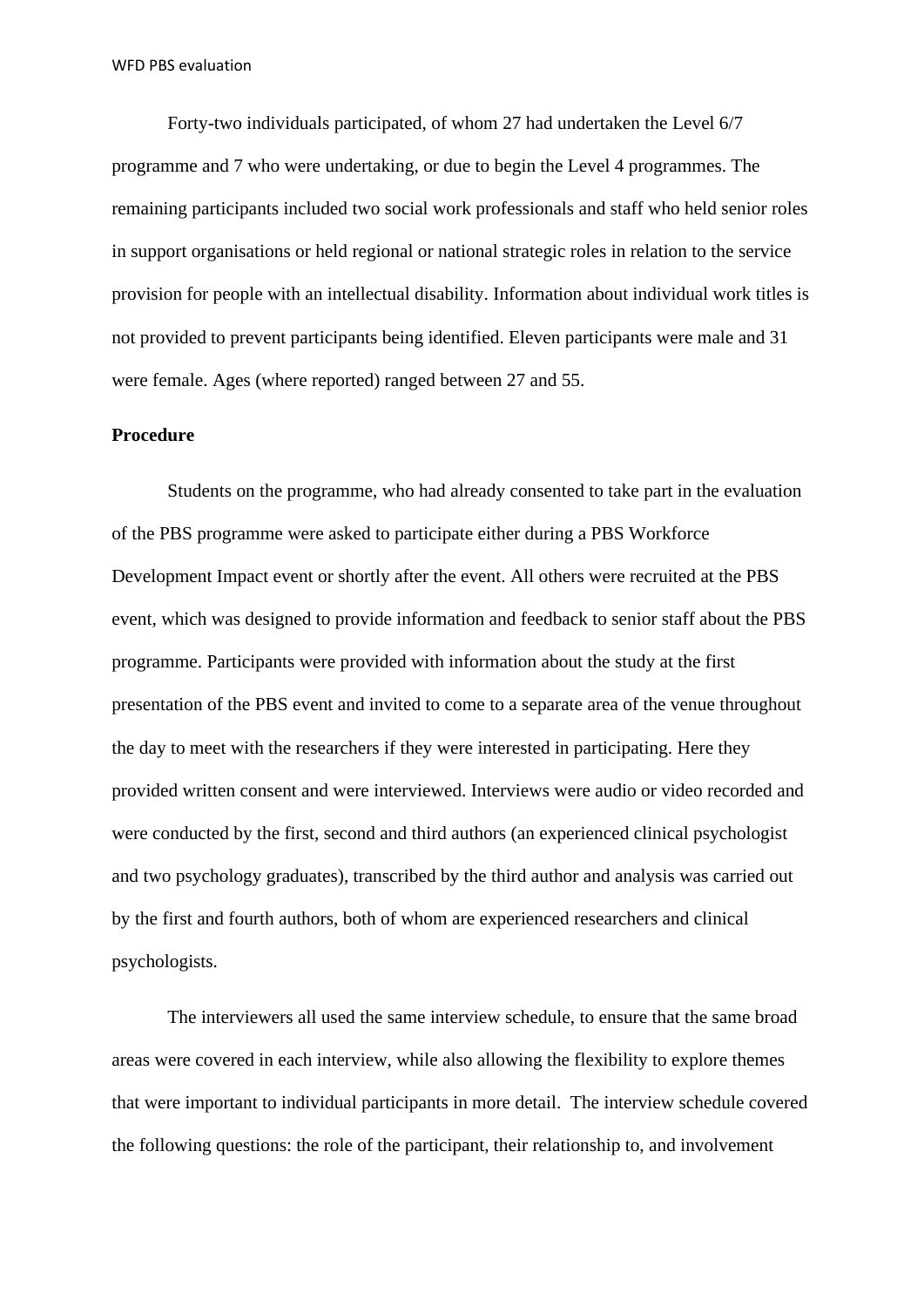Forty-two individuals participated, of whom 27 had undertaken the Level 6/7 programme and 7 who were undertaking, or due to begin the Level 4 programmes. The remaining participants included two social work professionals and staff who held senior roles in support organisations or held regional or national strategic roles in relation to the service provision for people with an intellectual disability. Information about individual work titles is not provided to prevent participants being identified. Eleven participants were male and 31 were female. Ages (where reported) ranged between 27 and 55.

### **Procedure**

Students on the programme, who had already consented to take part in the evaluation of the PBS programme were asked to participate either during a PBS Workforce Development Impact event or shortly after the event. All others were recruited at the PBS event, which was designed to provide information and feedback to senior staff about the PBS programme. Participants were provided with information about the study at the first presentation of the PBS event and invited to come to a separate area of the venue throughout the day to meet with the researchers if they were interested in participating. Here they provided written consent and were interviewed. Interviews were audio or video recorded and were conducted by the first, second and third authors (an experienced clinical psychologist and two psychology graduates), transcribed by the third author and analysis was carried out by the first and fourth authors, both of whom are experienced researchers and clinical psychologists.

The interviewers all used the same interview schedule, to ensure that the same broad areas were covered in each interview, while also allowing the flexibility to explore themes that were important to individual participants in more detail. The interview schedule covered the following questions: the role of the participant, their relationship to, and involvement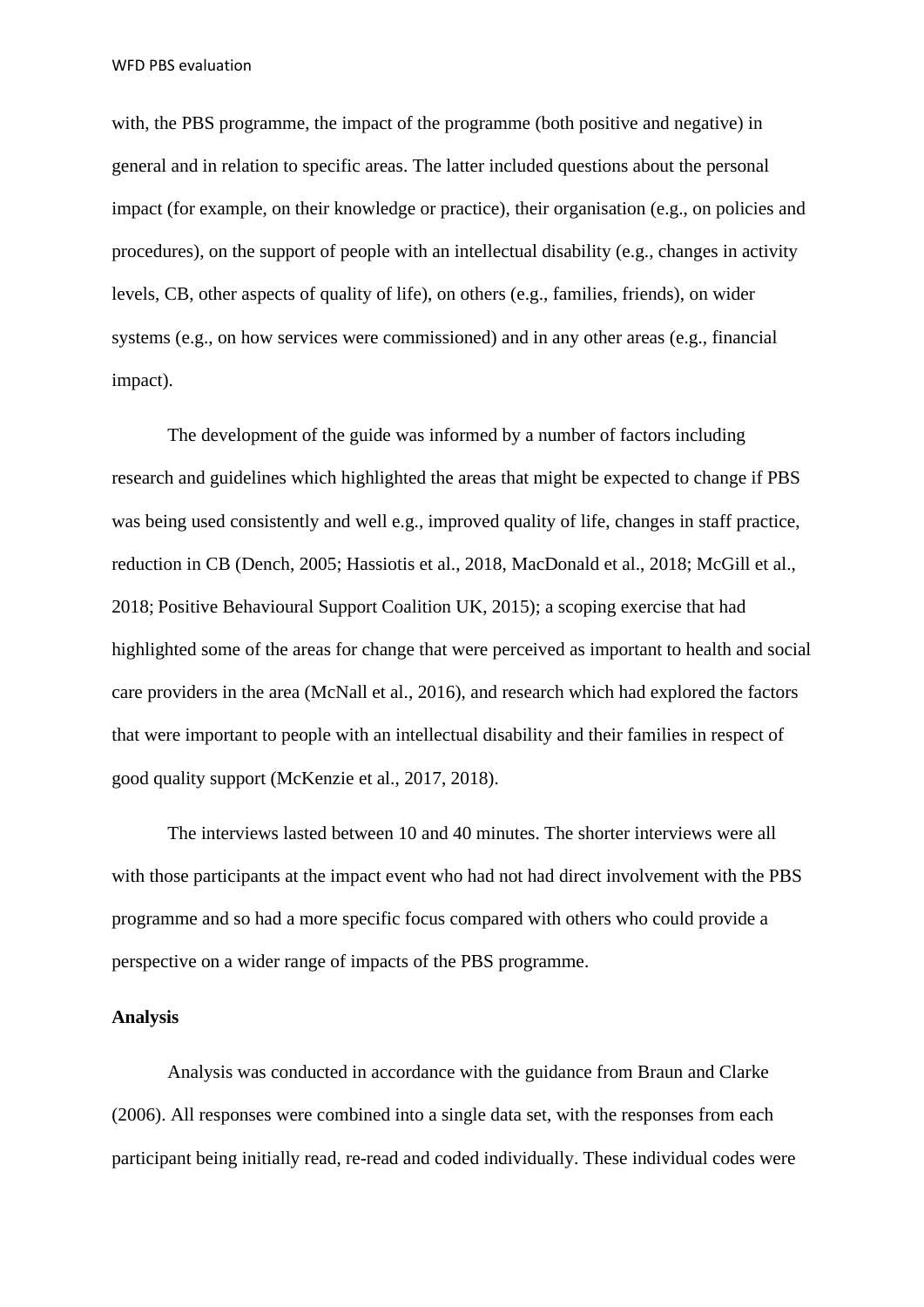with, the PBS programme, the impact of the programme (both positive and negative) in general and in relation to specific areas. The latter included questions about the personal impact (for example, on their knowledge or practice), their organisation (e.g., on policies and procedures), on the support of people with an intellectual disability (e.g., changes in activity levels, CB, other aspects of quality of life), on others (e.g., families, friends), on wider systems (e.g., on how services were commissioned) and in any other areas (e.g., financial impact).

The development of the guide was informed by a number of factors including research and guidelines which highlighted the areas that might be expected to change if PBS was being used consistently and well e.g., improved quality of life, changes in staff practice, reduction in CB (Dench, 2005; Hassiotis et al., 2018, MacDonald et al., 2018; McGill et al., 2018; Positive Behavioural Support Coalition UK, 2015); a scoping exercise that had highlighted some of the areas for change that were perceived as important to health and social care providers in the area (McNall et al., 2016), and research which had explored the factors that were important to people with an intellectual disability and their families in respect of good quality support (McKenzie et al., 2017, 2018).

The interviews lasted between 10 and 40 minutes. The shorter interviews were all with those participants at the impact event who had not had direct involvement with the PBS programme and so had a more specific focus compared with others who could provide a perspective on a wider range of impacts of the PBS programme.

### **Analysis**

Analysis was conducted in accordance with the guidance from Braun and Clarke (2006). All responses were combined into a single data set, with the responses from each participant being initially read, re-read and coded individually. These individual codes were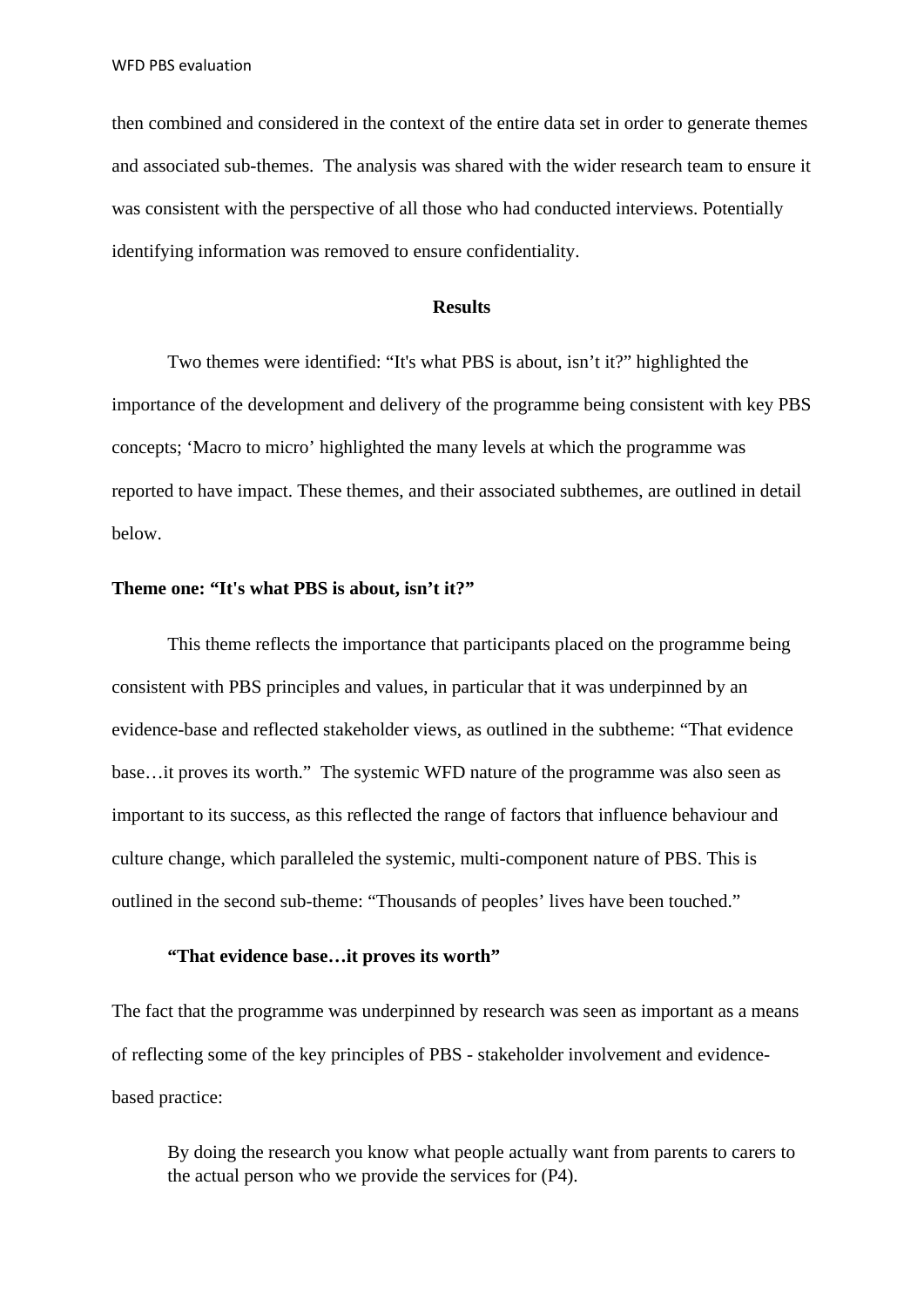then combined and considered in the context of the entire data set in order to generate themes and associated sub-themes. The analysis was shared with the wider research team to ensure it was consistent with the perspective of all those who had conducted interviews. Potentially identifying information was removed to ensure confidentiality.

#### **Results**

Two themes were identified: "It's what PBS is about, isn't it?" highlighted the importance of the development and delivery of the programme being consistent with key PBS concepts; 'Macro to micro' highlighted the many levels at which the programme was reported to have impact. These themes, and their associated subthemes, are outlined in detail below.

### **Theme one: "It's what PBS is about, isn't it?"**

This theme reflects the importance that participants placed on the programme being consistent with PBS principles and values, in particular that it was underpinned by an evidence-base and reflected stakeholder views, as outlined in the subtheme: "That evidence base…it proves its worth." The systemic WFD nature of the programme was also seen as important to its success, as this reflected the range of factors that influence behaviour and culture change, which paralleled the systemic, multi-component nature of PBS. This is outlined in the second sub-theme: "Thousands of peoples' lives have been touched."

### **"That evidence base…it proves its worth"**

The fact that the programme was underpinned by research was seen as important as a means of reflecting some of the key principles of PBS - stakeholder involvement and evidencebased practice:

By doing the research you know what people actually want from parents to carers to the actual person who we provide the services for (P4).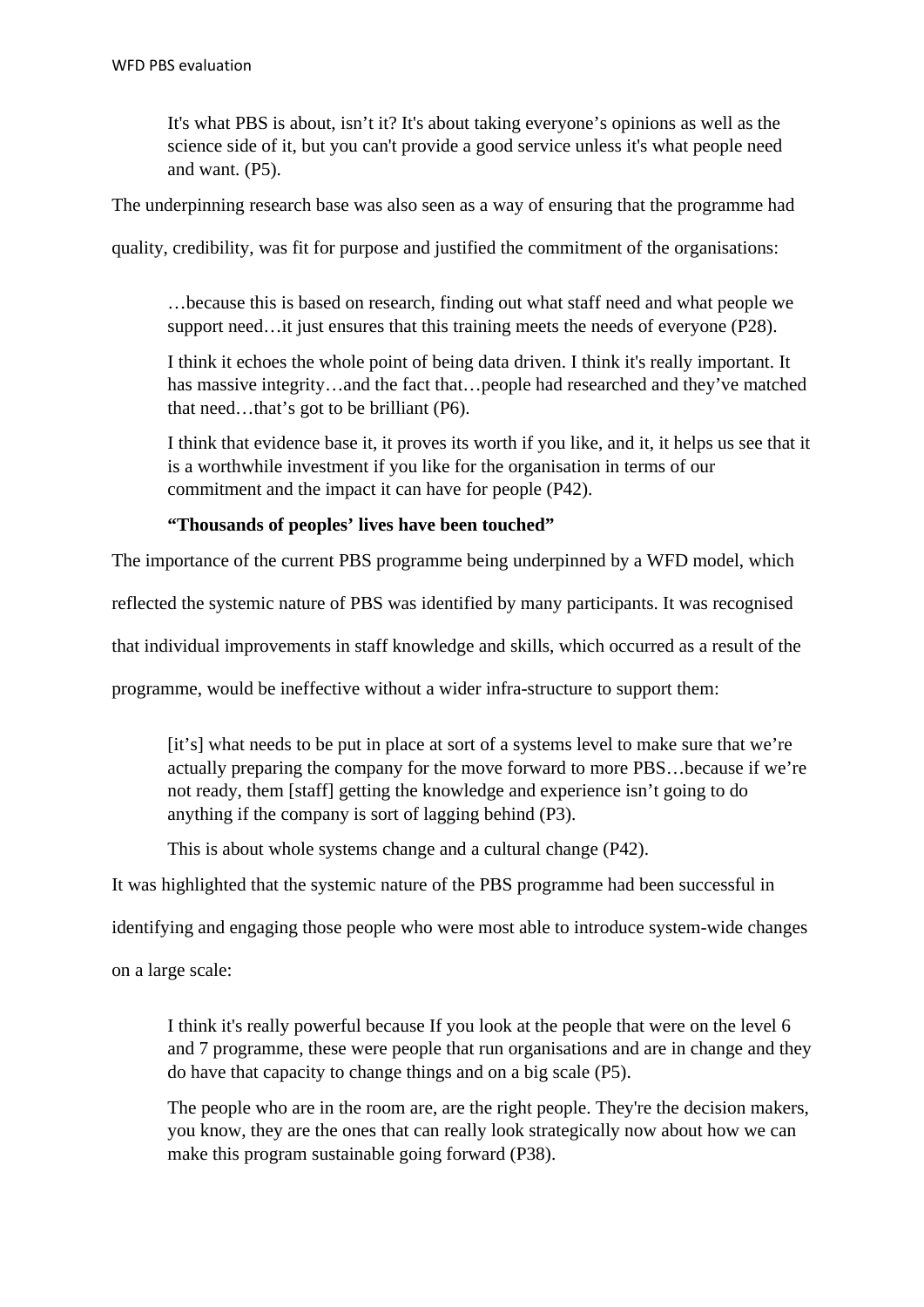It's what PBS is about, isn't it? It's about taking everyone's opinions as well as the science side of it, but you can't provide a good service unless it's what people need and want. (P5).

The underpinning research base was also seen as a way of ensuring that the programme had

quality, credibility, was fit for purpose and justified the commitment of the organisations:

…because this is based on research, finding out what staff need and what people we support need... it just ensures that this training meets the needs of everyone (P28).

I think it echoes the whole point of being data driven. I think it's really important. It has massive integrity…and the fact that…people had researched and they've matched that need…that's got to be brilliant (P6).

I think that evidence base it, it proves its worth if you like, and it, it helps us see that it is a worthwhile investment if you like for the organisation in terms of our commitment and the impact it can have for people (P42).

## **"Thousands of peoples' lives have been touched"**

The importance of the current PBS programme being underpinned by a WFD model, which

reflected the systemic nature of PBS was identified by many participants. It was recognised

that individual improvements in staff knowledge and skills, which occurred as a result of the

programme, would be ineffective without a wider infra-structure to support them:

[it's] what needs to be put in place at sort of a systems level to make sure that we're actually preparing the company for the move forward to more PBS…because if we're not ready, them [staff] getting the knowledge and experience isn't going to do anything if the company is sort of lagging behind (P3).

This is about whole systems change and a cultural change (P42).

It was highlighted that the systemic nature of the PBS programme had been successful in

identifying and engaging those people who were most able to introduce system-wide changes

on a large scale:

I think it's really powerful because If you look at the people that were on the level 6 and 7 programme, these were people that run organisations and are in change and they do have that capacity to change things and on a big scale (P5).

The people who are in the room are, are the right people. They're the decision makers, you know, they are the ones that can really look strategically now about how we can make this program sustainable going forward (P38).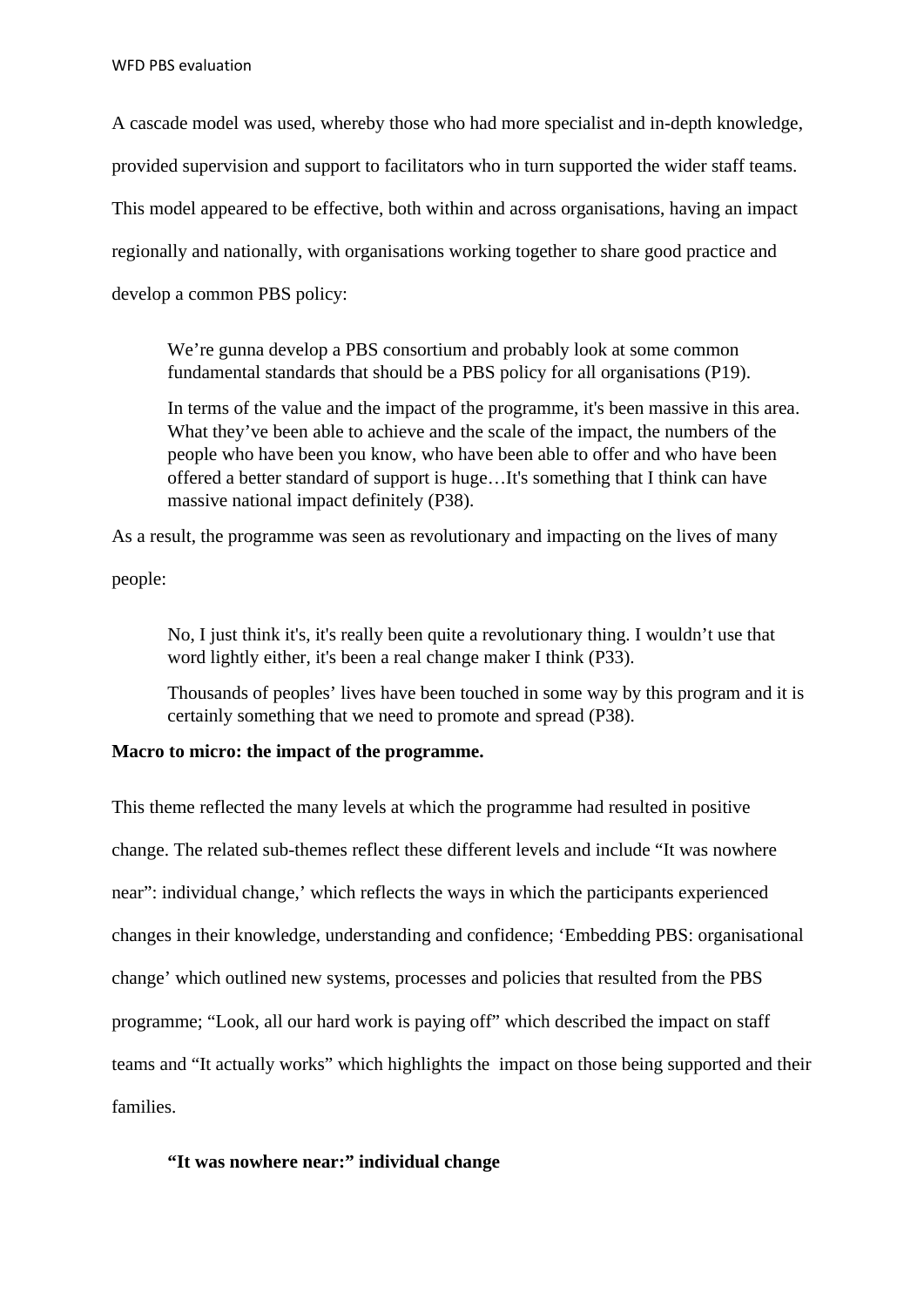A cascade model was used, whereby those who had more specialist and in-depth knowledge, provided supervision and support to facilitators who in turn supported the wider staff teams. This model appeared to be effective, both within and across organisations, having an impact regionally and nationally, with organisations working together to share good practice and develop a common PBS policy:

We're gunna develop a PBS consortium and probably look at some common fundamental standards that should be a PBS policy for all organisations (P19).

In terms of the value and the impact of the programme, it's been massive in this area. What they've been able to achieve and the scale of the impact, the numbers of the people who have been you know, who have been able to offer and who have been offered a better standard of support is huge…It's something that I think can have massive national impact definitely (P38).

As a result, the programme was seen as revolutionary and impacting on the lives of many

people:

No, I just think it's, it's really been quite a revolutionary thing. I wouldn't use that word lightly either, it's been a real change maker I think (P33).

Thousands of peoples' lives have been touched in some way by this program and it is certainly something that we need to promote and spread (P38).

## **Macro to micro: the impact of the programme.**

This theme reflected the many levels at which the programme had resulted in positive change. The related sub-themes reflect these different levels and include "It was nowhere near": individual change,' which reflects the ways in which the participants experienced changes in their knowledge, understanding and confidence; 'Embedding PBS: organisational change' which outlined new systems, processes and policies that resulted from the PBS programme; "Look, all our hard work is paying off" which described the impact on staff teams and "It actually works" which highlights the impact on those being supported and their families.

## **"It was nowhere near:" individual change**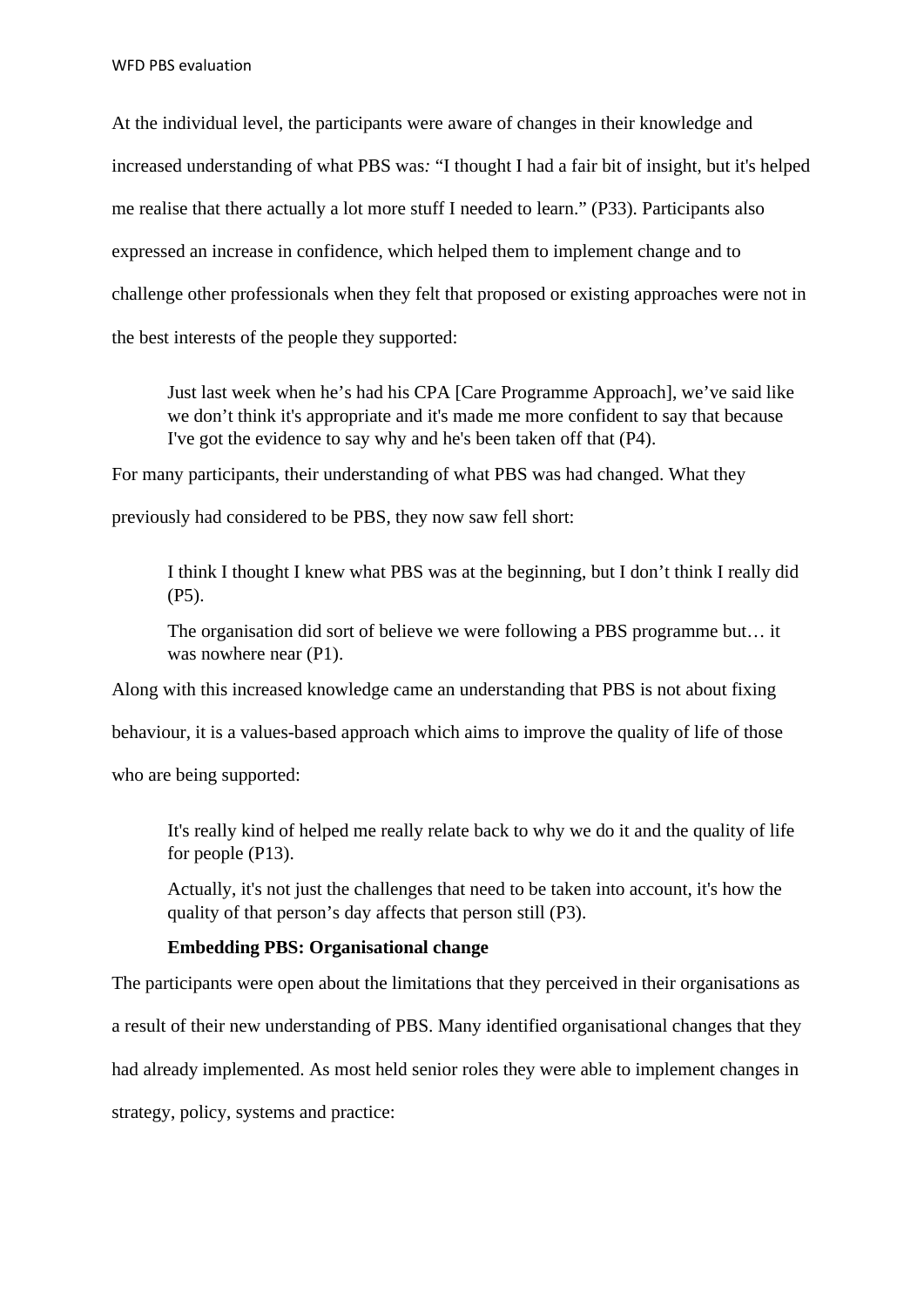At the individual level, the participants were aware of changes in their knowledge and increased understanding of what PBS was*:* "I thought I had a fair bit of insight, but it's helped me realise that there actually a lot more stuff I needed to learn." (P33). Participants also expressed an increase in confidence, which helped them to implement change and to challenge other professionals when they felt that proposed or existing approaches were not in the best interests of the people they supported:

Just last week when he's had his CPA [Care Programme Approach], we've said like we don't think it's appropriate and it's made me more confident to say that because I've got the evidence to say why and he's been taken off that (P4).

For many participants, their understanding of what PBS was had changed. What they

previously had considered to be PBS, they now saw fell short:

I think I thought I knew what PBS was at the beginning, but I don't think I really did (P5).

The organisation did sort of believe we were following a PBS programme but… it was nowhere near  $(P1)$ .

Along with this increased knowledge came an understanding that PBS is not about fixing

behaviour, it is a values-based approach which aims to improve the quality of life of those

who are being supported:

It's really kind of helped me really relate back to why we do it and the quality of life for people (P13).

Actually, it's not just the challenges that need to be taken into account, it's how the quality of that person's day affects that person still (P3).

## **Embedding PBS: Organisational change**

The participants were open about the limitations that they perceived in their organisations as a result of their new understanding of PBS. Many identified organisational changes that they had already implemented. As most held senior roles they were able to implement changes in strategy, policy, systems and practice: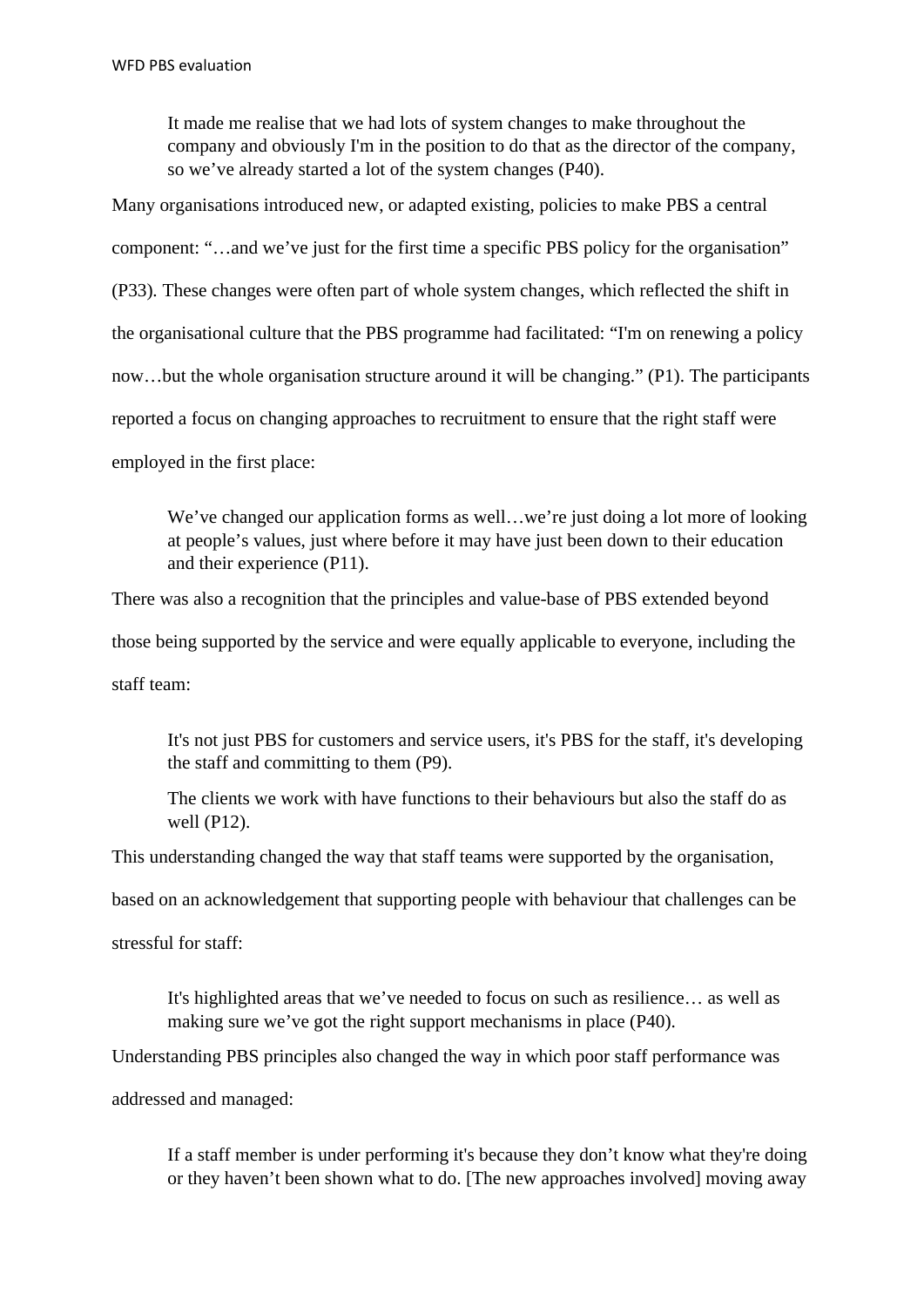It made me realise that we had lots of system changes to make throughout the company and obviously I'm in the position to do that as the director of the company, so we've already started a lot of the system changes (P40).

Many organisations introduced new, or adapted existing, policies to make PBS a central component: "…and we've just for the first time a specific PBS policy for the organisation" (P33)*.* These changes were often part of whole system changes, which reflected the shift in the organisational culture that the PBS programme had facilitated: "I'm on renewing a policy now…but the whole organisation structure around it will be changing." (P1). The participants reported a focus on changing approaches to recruitment to ensure that the right staff were employed in the first place:

We've changed our application forms as well…we're just doing a lot more of looking at people's values, just where before it may have just been down to their education and their experience (P11).

There was also a recognition that the principles and value-base of PBS extended beyond those being supported by the service and were equally applicable to everyone, including the staff team:

It's not just PBS for customers and service users, it's PBS for the staff, it's developing the staff and committing to them (P9).

The clients we work with have functions to their behaviours but also the staff do as well (P12).

This understanding changed the way that staff teams were supported by the organisation,

based on an acknowledgement that supporting people with behaviour that challenges can be

stressful for staff:

It's highlighted areas that we've needed to focus on such as resilience… as well as making sure we've got the right support mechanisms in place (P40).

Understanding PBS principles also changed the way in which poor staff performance was

addressed and managed:

If a staff member is under performing it's because they don't know what they're doing or they haven't been shown what to do. [The new approaches involved] moving away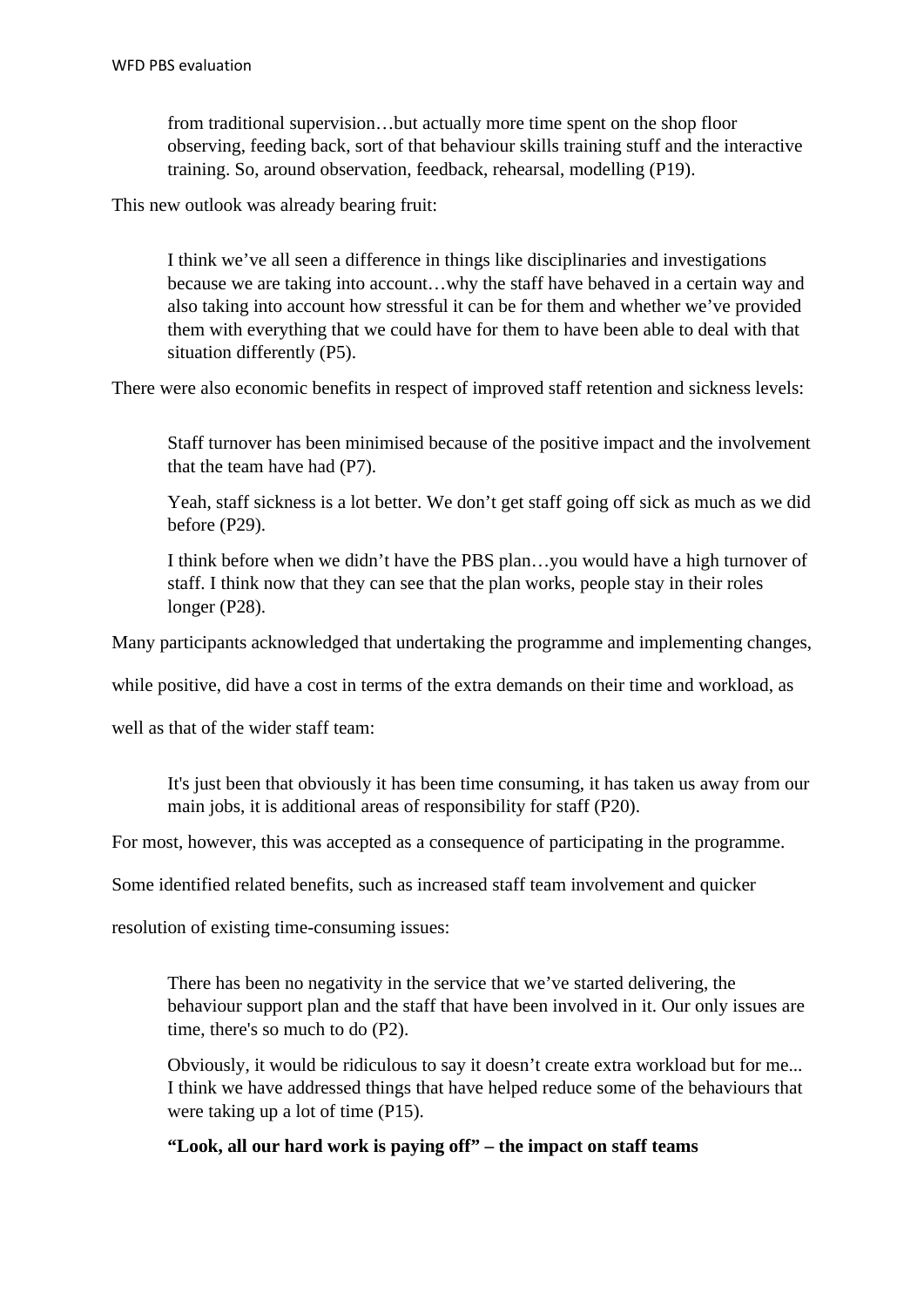from traditional supervision…but actually more time spent on the shop floor observing, feeding back, sort of that behaviour skills training stuff and the interactive training. So, around observation, feedback, rehearsal, modelling (P19).

This new outlook was already bearing fruit:

I think we've all seen a difference in things like disciplinaries and investigations because we are taking into account…why the staff have behaved in a certain way and also taking into account how stressful it can be for them and whether we've provided them with everything that we could have for them to have been able to deal with that situation differently (P5).

There were also economic benefits in respect of improved staff retention and sickness levels:

Staff turnover has been minimised because of the positive impact and the involvement that the team have had (P7).

Yeah, staff sickness is a lot better. We don't get staff going off sick as much as we did before (P29).

I think before when we didn't have the PBS plan…you would have a high turnover of staff. I think now that they can see that the plan works, people stay in their roles longer (P28).

Many participants acknowledged that undertaking the programme and implementing changes,

while positive, did have a cost in terms of the extra demands on their time and workload, as

well as that of the wider staff team:

It's just been that obviously it has been time consuming, it has taken us away from our main jobs, it is additional areas of responsibility for staff (P20).

For most, however, this was accepted as a consequence of participating in the programme.

Some identified related benefits, such as increased staff team involvement and quicker

resolution of existing time-consuming issues:

There has been no negativity in the service that we've started delivering, the behaviour support plan and the staff that have been involved in it. Our only issues are time, there's so much to do (P2).

Obviously, it would be ridiculous to say it doesn't create extra workload but for me... I think we have addressed things that have helped reduce some of the behaviours that were taking up a lot of time (P15).

## **"Look, all our hard work is paying off" – the impact on staff teams**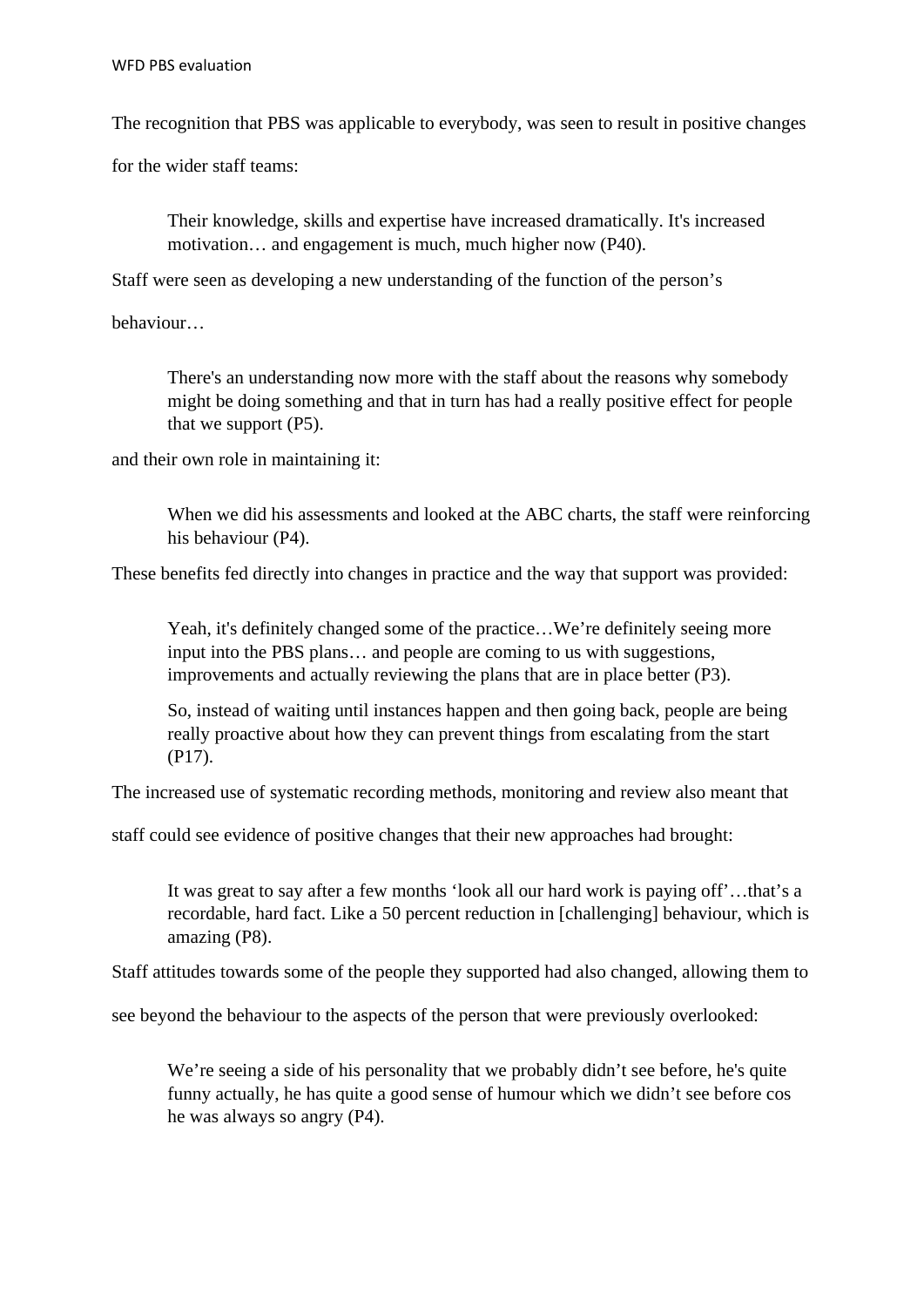The recognition that PBS was applicable to everybody, was seen to result in positive changes

for the wider staff teams:

Their knowledge, skills and expertise have increased dramatically. It's increased motivation… and engagement is much, much higher now (P40).

Staff were seen as developing a new understanding of the function of the person's

behaviour…

There's an understanding now more with the staff about the reasons why somebody might be doing something and that in turn has had a really positive effect for people that we support (P5).

and their own role in maintaining it:

When we did his assessments and looked at the ABC charts, the staff were reinforcing his behaviour (P4).

These benefits fed directly into changes in practice and the way that support was provided:

Yeah, it's definitely changed some of the practice...We're definitely seeing more input into the PBS plans… and people are coming to us with suggestions, improvements and actually reviewing the plans that are in place better (P3).

So, instead of waiting until instances happen and then going back, people are being really proactive about how they can prevent things from escalating from the start (P17).

The increased use of systematic recording methods, monitoring and review also meant that

staff could see evidence of positive changes that their new approaches had brought:

It was great to say after a few months 'look all our hard work is paying off'…that's a recordable, hard fact. Like a 50 percent reduction in [challenging] behaviour, which is amazing (P8).

Staff attitudes towards some of the people they supported had also changed, allowing them to

see beyond the behaviour to the aspects of the person that were previously overlooked:

We're seeing a side of his personality that we probably didn't see before, he's quite funny actually, he has quite a good sense of humour which we didn't see before cos he was always so angry (P4).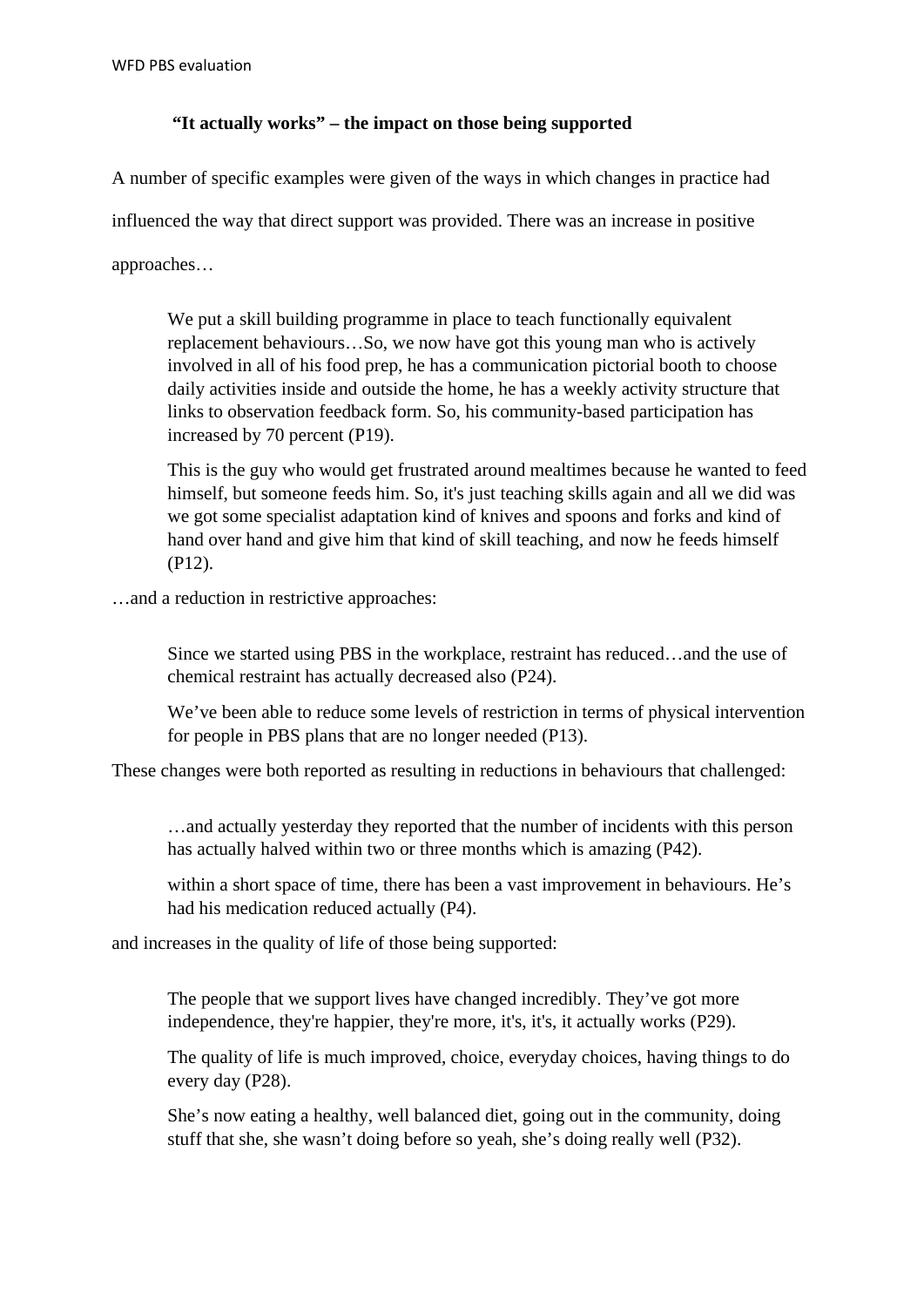## **"It actually works" – the impact on those being supported**

A number of specific examples were given of the ways in which changes in practice had

influenced the way that direct support was provided. There was an increase in positive

approaches…

We put a skill building programme in place to teach functionally equivalent replacement behaviours…So, we now have got this young man who is actively involved in all of his food prep, he has a communication pictorial booth to choose daily activities inside and outside the home, he has a weekly activity structure that links to observation feedback form. So, his community-based participation has increased by 70 percent (P19).

This is the guy who would get frustrated around mealtimes because he wanted to feed himself, but someone feeds him. So, it's just teaching skills again and all we did was we got some specialist adaptation kind of knives and spoons and forks and kind of hand over hand and give him that kind of skill teaching, and now he feeds himself (P12).

…and a reduction in restrictive approaches:

Since we started using PBS in the workplace, restraint has reduced…and the use of chemical restraint has actually decreased also (P24).

We've been able to reduce some levels of restriction in terms of physical intervention for people in PBS plans that are no longer needed (P13).

These changes were both reported as resulting in reductions in behaviours that challenged:

…and actually yesterday they reported that the number of incidents with this person has actually halved within two or three months which is amazing (P42).

within a short space of time, there has been a vast improvement in behaviours. He's had his medication reduced actually (P4).

and increases in the quality of life of those being supported:

The people that we support lives have changed incredibly. They've got more independence, they're happier, they're more, it's, it's, it actually works (P29).

The quality of life is much improved, choice, everyday choices, having things to do every day (P28).

She's now eating a healthy, well balanced diet, going out in the community, doing stuff that she, she wasn't doing before so yeah, she's doing really well (P32).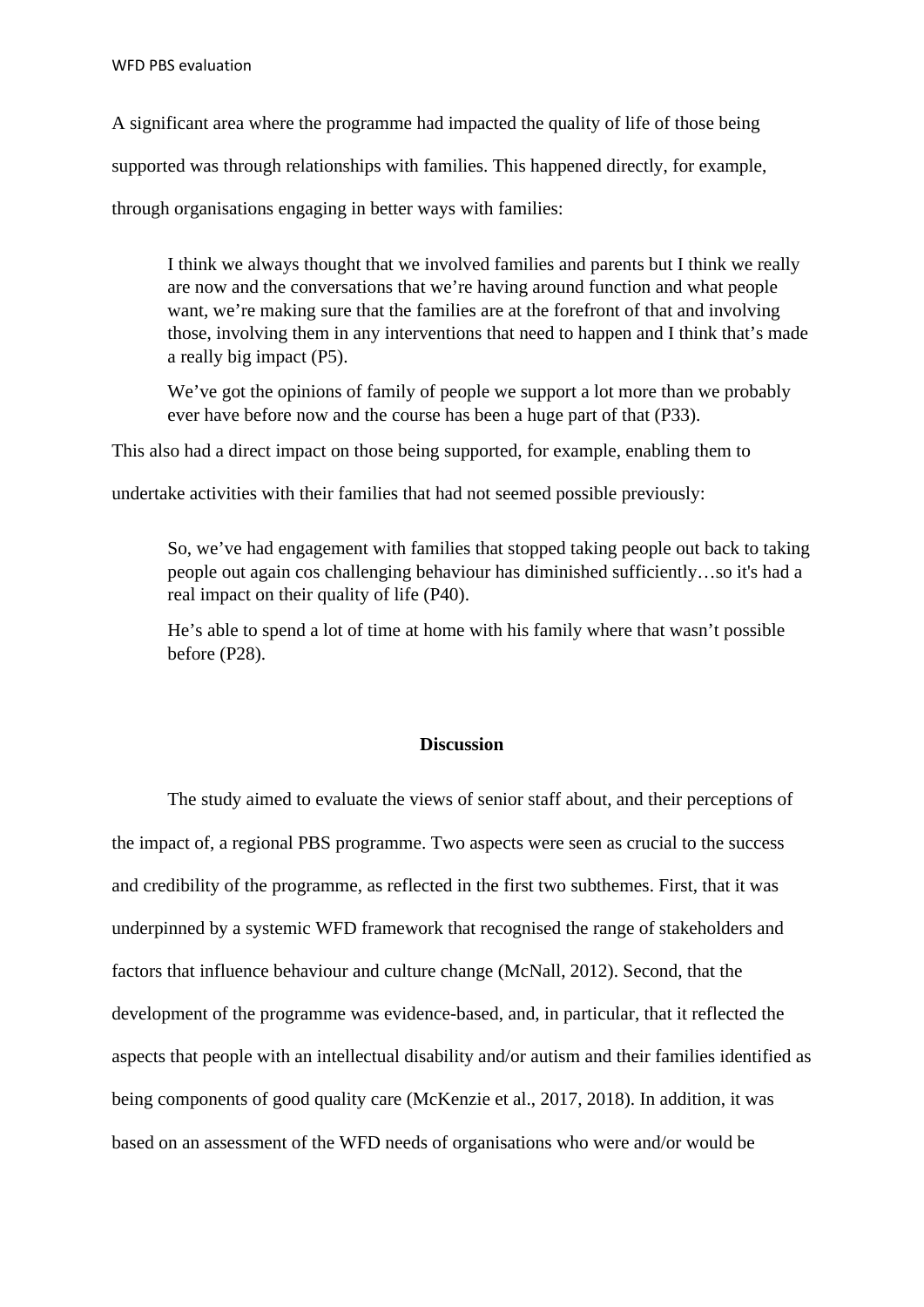A significant area where the programme had impacted the quality of life of those being

supported was through relationships with families. This happened directly, for example,

through organisations engaging in better ways with families:

I think we always thought that we involved families and parents but I think we really are now and the conversations that we're having around function and what people want, we're making sure that the families are at the forefront of that and involving those, involving them in any interventions that need to happen and I think that's made a really big impact (P5).

We've got the opinions of family of people we support a lot more than we probably ever have before now and the course has been a huge part of that (P33).

This also had a direct impact on those being supported, for example, enabling them to

undertake activities with their families that had not seemed possible previously:

So, we've had engagement with families that stopped taking people out back to taking people out again cos challenging behaviour has diminished sufficiently…so it's had a real impact on their quality of life (P40).

He's able to spend a lot of time at home with his family where that wasn't possible before (P28).

### **Discussion**

The study aimed to evaluate the views of senior staff about, and their perceptions of the impact of, a regional PBS programme. Two aspects were seen as crucial to the success and credibility of the programme, as reflected in the first two subthemes. First, that it was underpinned by a systemic WFD framework that recognised the range of stakeholders and factors that influence behaviour and culture change (McNall, 2012). Second, that the development of the programme was evidence-based, and, in particular, that it reflected the aspects that people with an intellectual disability and/or autism and their families identified as being components of good quality care (McKenzie et al., 2017, 2018). In addition, it was based on an assessment of the WFD needs of organisations who were and/or would be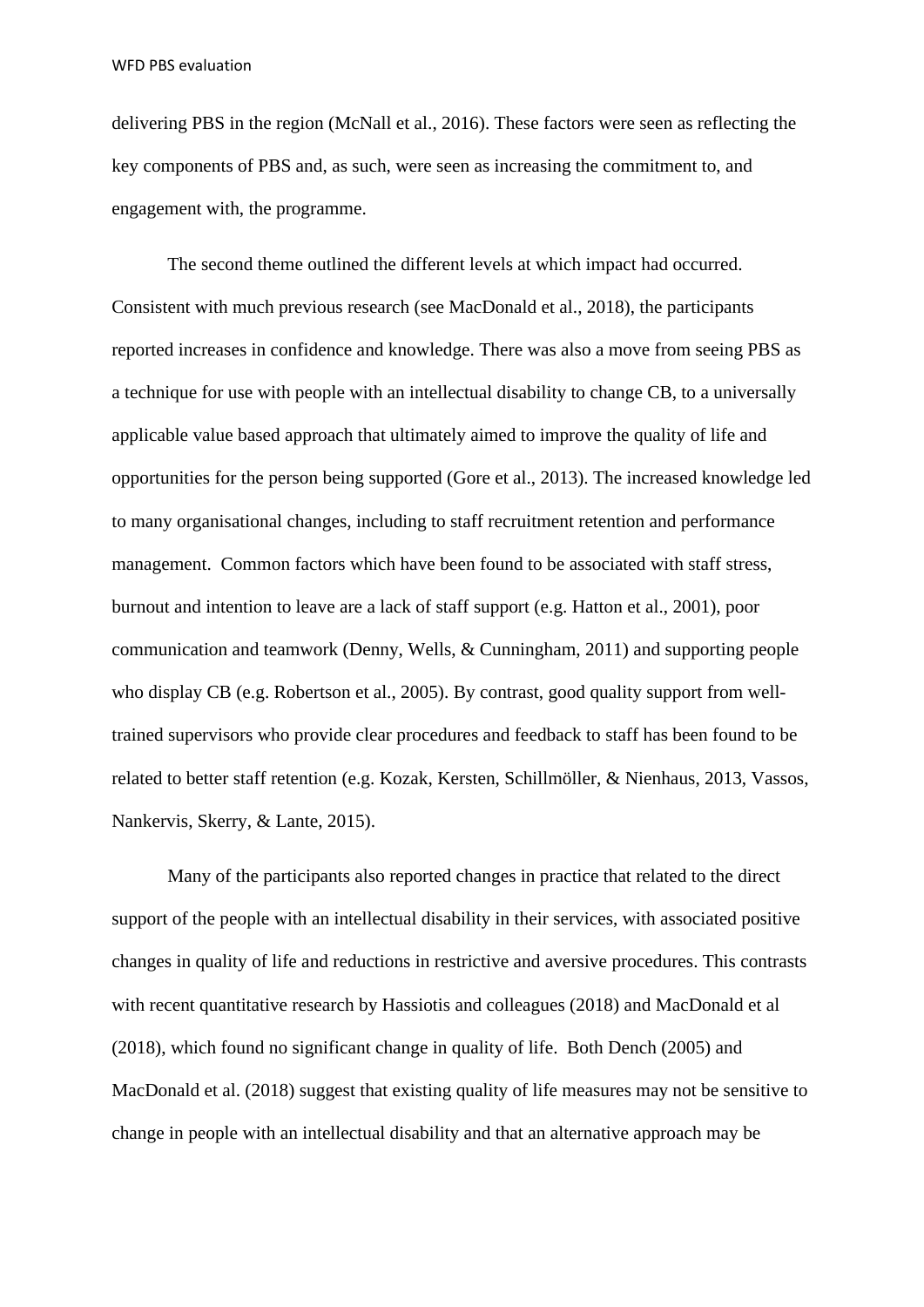delivering PBS in the region (McNall et al., 2016). These factors were seen as reflecting the key components of PBS and, as such, were seen as increasing the commitment to, and engagement with, the programme.

The second theme outlined the different levels at which impact had occurred. Consistent with much previous research (see MacDonald et al., 2018), the participants reported increases in confidence and knowledge. There was also a move from seeing PBS as a technique for use with people with an intellectual disability to change CB, to a universally applicable value based approach that ultimately aimed to improve the quality of life and opportunities for the person being supported (Gore et al., 2013). The increased knowledge led to many organisational changes, including to staff recruitment retention and performance management. Common factors which have been found to be associated with staff stress, burnout and intention to leave are a lack of staff support (e.g. Hatton et al., 2001), poor communication and teamwork (Denny, Wells, & Cunningham, 2011) and supporting people who display CB (e.g. Robertson et al., 2005). By contrast, good quality support from welltrained supervisors who provide clear procedures and feedback to staff has been found to be related to better staff retention (e.g. Kozak, Kersten, Schillmöller, & Nienhaus, 2013, Vassos, Nankervis, Skerry, & Lante, 2015).

Many of the participants also reported changes in practice that related to the direct support of the people with an intellectual disability in their services, with associated positive changes in quality of life and reductions in restrictive and aversive procedures. This contrasts with recent quantitative research by Hassiotis and colleagues (2018) and MacDonald et al (2018), which found no significant change in quality of life. Both Dench (2005) and MacDonald et al. (2018) suggest that existing quality of life measures may not be sensitive to change in people with an intellectual disability and that an alternative approach may be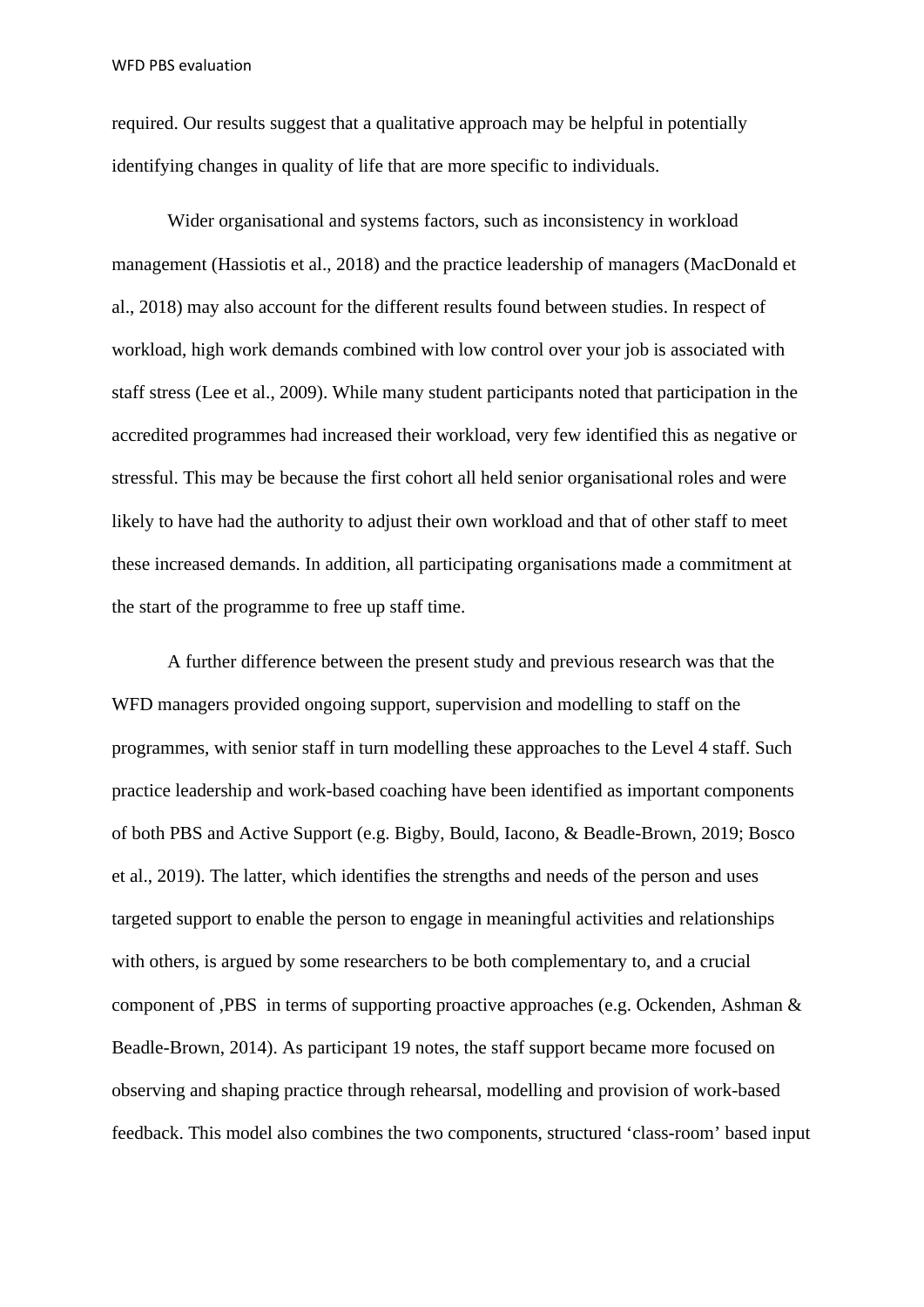required. Our results suggest that a qualitative approach may be helpful in potentially identifying changes in quality of life that are more specific to individuals.

Wider organisational and systems factors, such as inconsistency in workload management (Hassiotis et al., 2018) and the practice leadership of managers (MacDonald et al., 2018) may also account for the different results found between studies. In respect of workload, high work demands combined with low control over your job is associated with staff stress (Lee et al., 2009). While many student participants noted that participation in the accredited programmes had increased their workload, very few identified this as negative or stressful. This may be because the first cohort all held senior organisational roles and were likely to have had the authority to adjust their own workload and that of other staff to meet these increased demands. In addition, all participating organisations made a commitment at the start of the programme to free up staff time.

A further difference between the present study and previous research was that the WFD managers provided ongoing support, supervision and modelling to staff on the programmes, with senior staff in turn modelling these approaches to the Level 4 staff. Such practice leadership and work-based coaching have been identified as important components of both PBS and Active Support (e.g. Bigby, Bould, Iacono, & Beadle-Brown, 2019; Bosco et al., 2019). The latter, which identifies the strengths and needs of the person and uses targeted support to enable the person to engage in meaningful activities and relationships with others, is argued by some researchers to be both complementary to, and a crucial component of ,PBS in terms of supporting proactive approaches (e.g. Ockenden, Ashman & Beadle-Brown, 2014). As participant 19 notes, the staff support became more focused on observing and shaping practice through rehearsal, modelling and provision of work-based feedback. This model also combines the two components, structured 'class-room' based input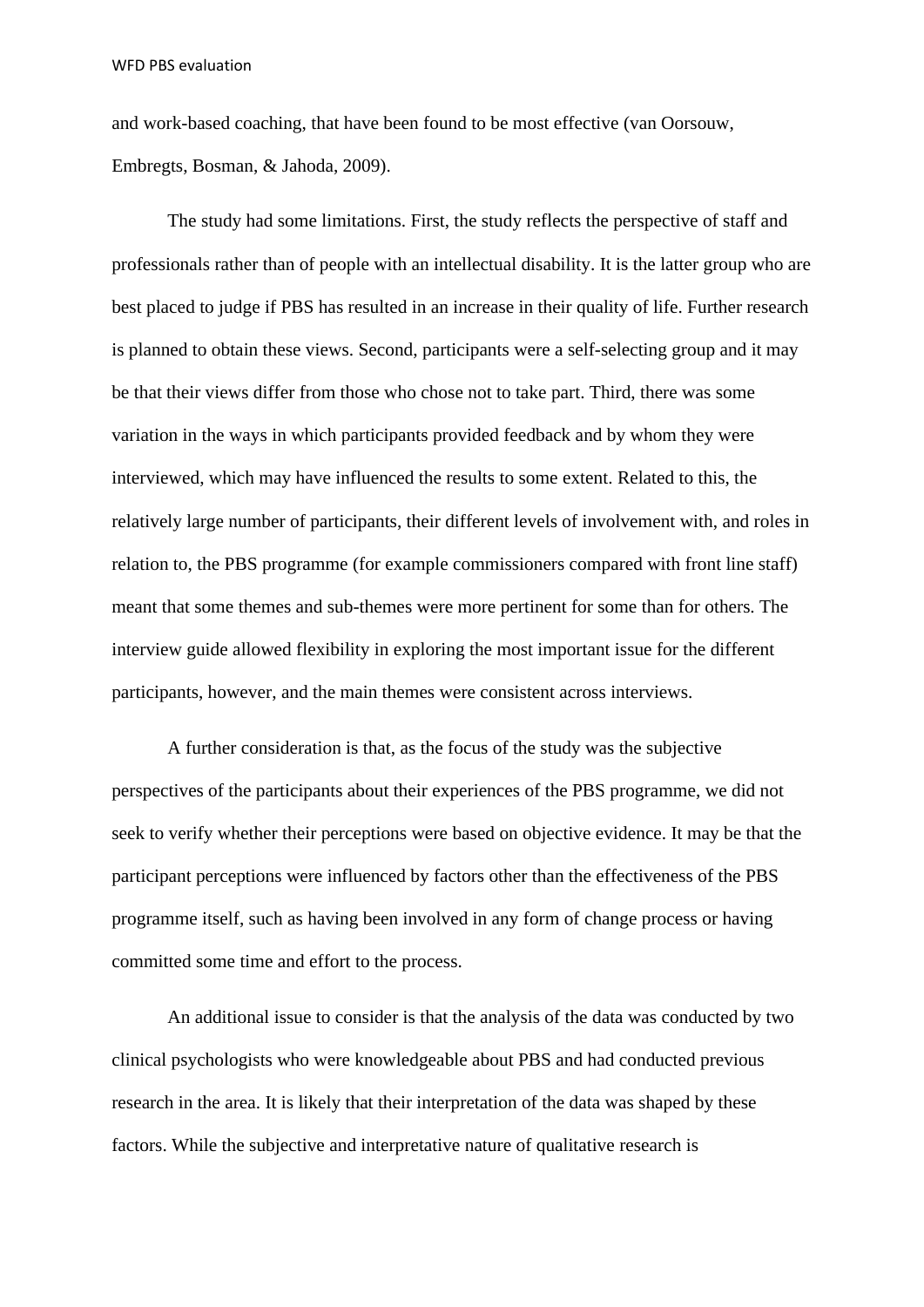and work-based coaching, that have been found to be most effective (van Oorsouw, Embregts, Bosman, & Jahoda, 2009).

The study had some limitations. First, the study reflects the perspective of staff and professionals rather than of people with an intellectual disability. It is the latter group who are best placed to judge if PBS has resulted in an increase in their quality of life. Further research is planned to obtain these views. Second, participants were a self-selecting group and it may be that their views differ from those who chose not to take part. Third, there was some variation in the ways in which participants provided feedback and by whom they were interviewed, which may have influenced the results to some extent. Related to this, the relatively large number of participants, their different levels of involvement with, and roles in relation to, the PBS programme (for example commissioners compared with front line staff) meant that some themes and sub-themes were more pertinent for some than for others. The interview guide allowed flexibility in exploring the most important issue for the different participants, however, and the main themes were consistent across interviews.

A further consideration is that, as the focus of the study was the subjective perspectives of the participants about their experiences of the PBS programme, we did not seek to verify whether their perceptions were based on objective evidence. It may be that the participant perceptions were influenced by factors other than the effectiveness of the PBS programme itself, such as having been involved in any form of change process or having committed some time and effort to the process.

An additional issue to consider is that the analysis of the data was conducted by two clinical psychologists who were knowledgeable about PBS and had conducted previous research in the area. It is likely that their interpretation of the data was shaped by these factors. While the subjective and interpretative nature of qualitative research is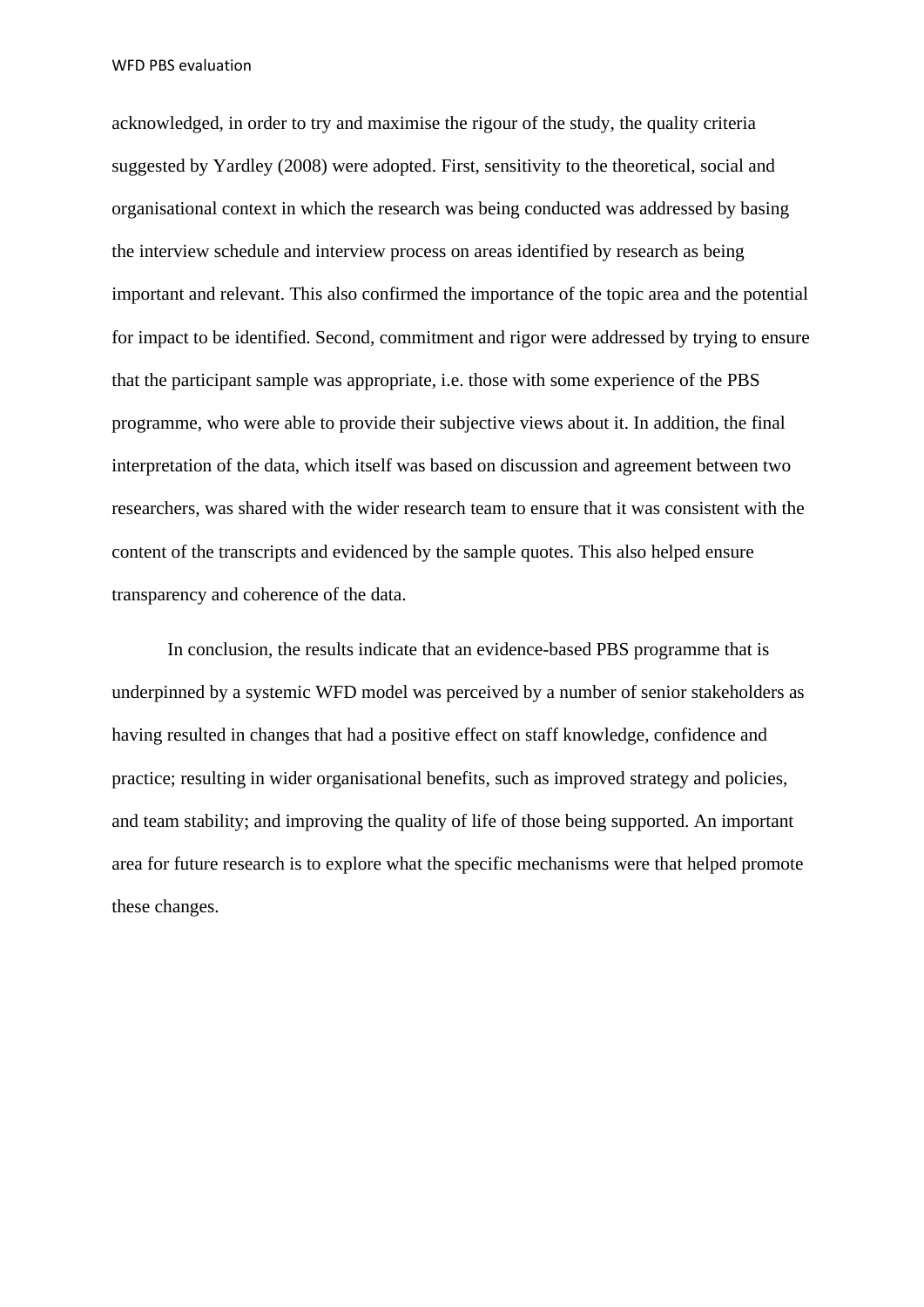acknowledged, in order to try and maximise the rigour of the study, the quality criteria suggested by Yardley (2008) were adopted. First, sensitivity to the theoretical, social and organisational context in which the research was being conducted was addressed by basing the interview schedule and interview process on areas identified by research as being important and relevant. This also confirmed the importance of the topic area and the potential for impact to be identified. Second, commitment and rigor were addressed by trying to ensure that the participant sample was appropriate, i.e. those with some experience of the PBS programme, who were able to provide their subjective views about it. In addition, the final interpretation of the data, which itself was based on discussion and agreement between two researchers, was shared with the wider research team to ensure that it was consistent with the content of the transcripts and evidenced by the sample quotes. This also helped ensure transparency and coherence of the data.

In conclusion, the results indicate that an evidence-based PBS programme that is underpinned by a systemic WFD model was perceived by a number of senior stakeholders as having resulted in changes that had a positive effect on staff knowledge, confidence and practice; resulting in wider organisational benefits, such as improved strategy and policies, and team stability; and improving the quality of life of those being supported. An important area for future research is to explore what the specific mechanisms were that helped promote these changes.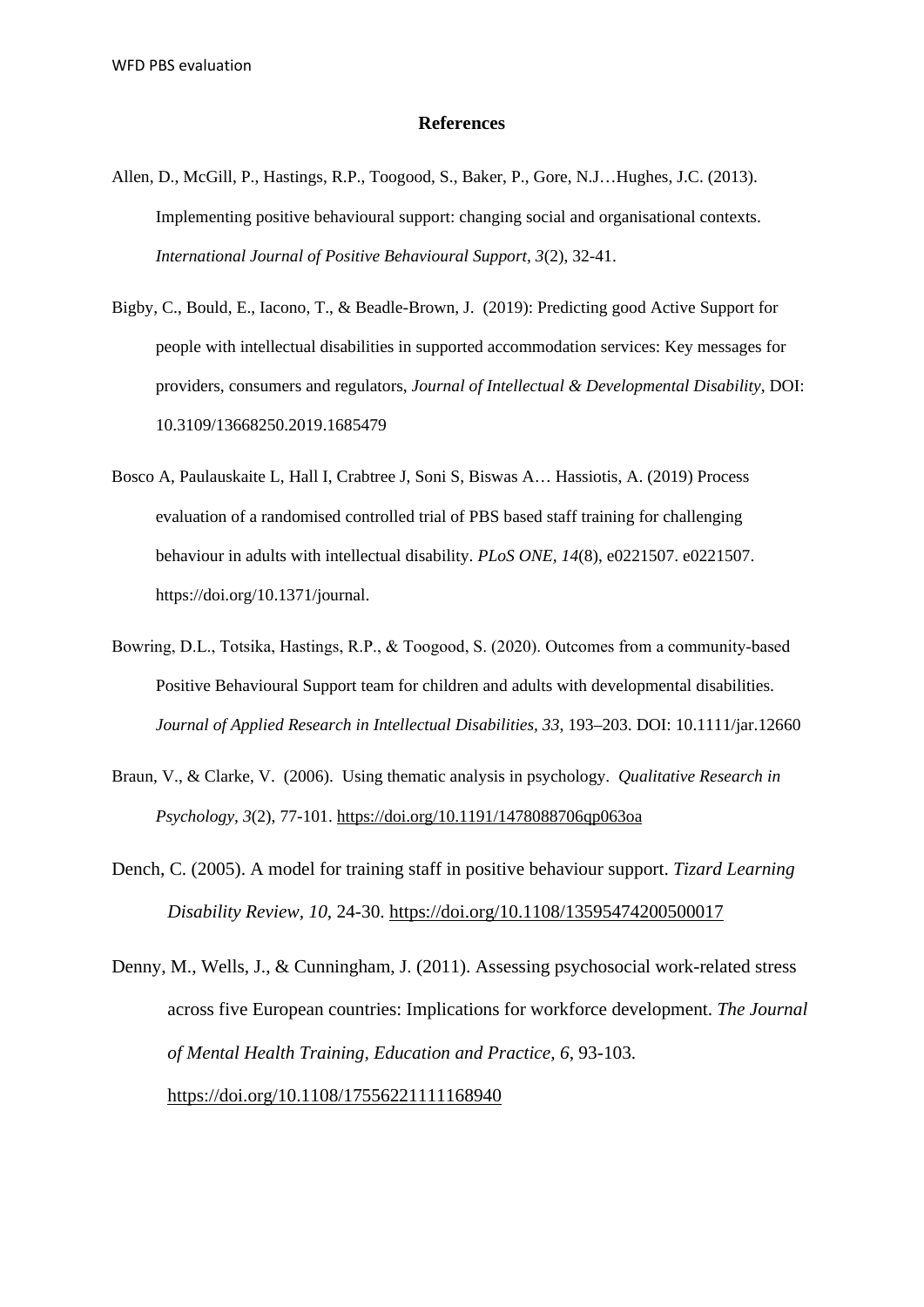### **References**

- Allen, D., McGill, P., Hastings, R.P., Toogood, S., Baker, P., Gore, N.J…Hughes, J.C. (2013). Implementing positive behavioural support: changing social and organisational contexts. *International Journal of Positive Behavioural Support, 3*(2), 32-41.
- Bigby, C., Bould, E., Iacono, T., & Beadle-Brown, J. (2019): Predicting good Active Support for people with intellectual disabilities in supported accommodation services: Key messages for providers, consumers and regulators, *Journal of Intellectual & Developmental Disability*, DOI: 10.3109/13668250.2019.1685479
- Bosco A, Paulauskaite L, Hall I, Crabtree J, Soni S, Biswas A… Hassiotis, A. (2019) Process evaluation of a randomised controlled trial of PBS based staff training for challenging behaviour in adults with intellectual disability. *PLoS ONE, 14*(8), e0221507. e0221507. https://doi.org/10.1371/journal.
- Bowring, D.L., Totsika, Hastings, R.P., & Toogood, S. (2020). Outcomes from a community‐based Positive Behavioural Support team for children and adults with developmental disabilities. *Journal of Applied Research in Intellectual Disabilities, 33*, 193–203. DOI: 10.1111/jar.12660
- Braun, V., & Clarke, V. (2006). Using thematic analysis in psychology. *Qualitative Research in Psychology, 3*(2), 77-101.<https://doi.org/10.1191/1478088706qp063oa>
- Dench, C. (2005). A model for training staff in positive behaviour support. *Tizard Learning Disability Review, 10*, 24-30.<https://doi.org/10.1108/13595474200500017>
- Denny, M., Wells, J., & Cunningham, J. (2011). Assessing psychosocial work-related stress across five European countries: Implications for workforce development. *The Journal of Mental Health Training, Education and Practice, 6*, 93-103. <https://doi.org/10.1108/17556221111168940>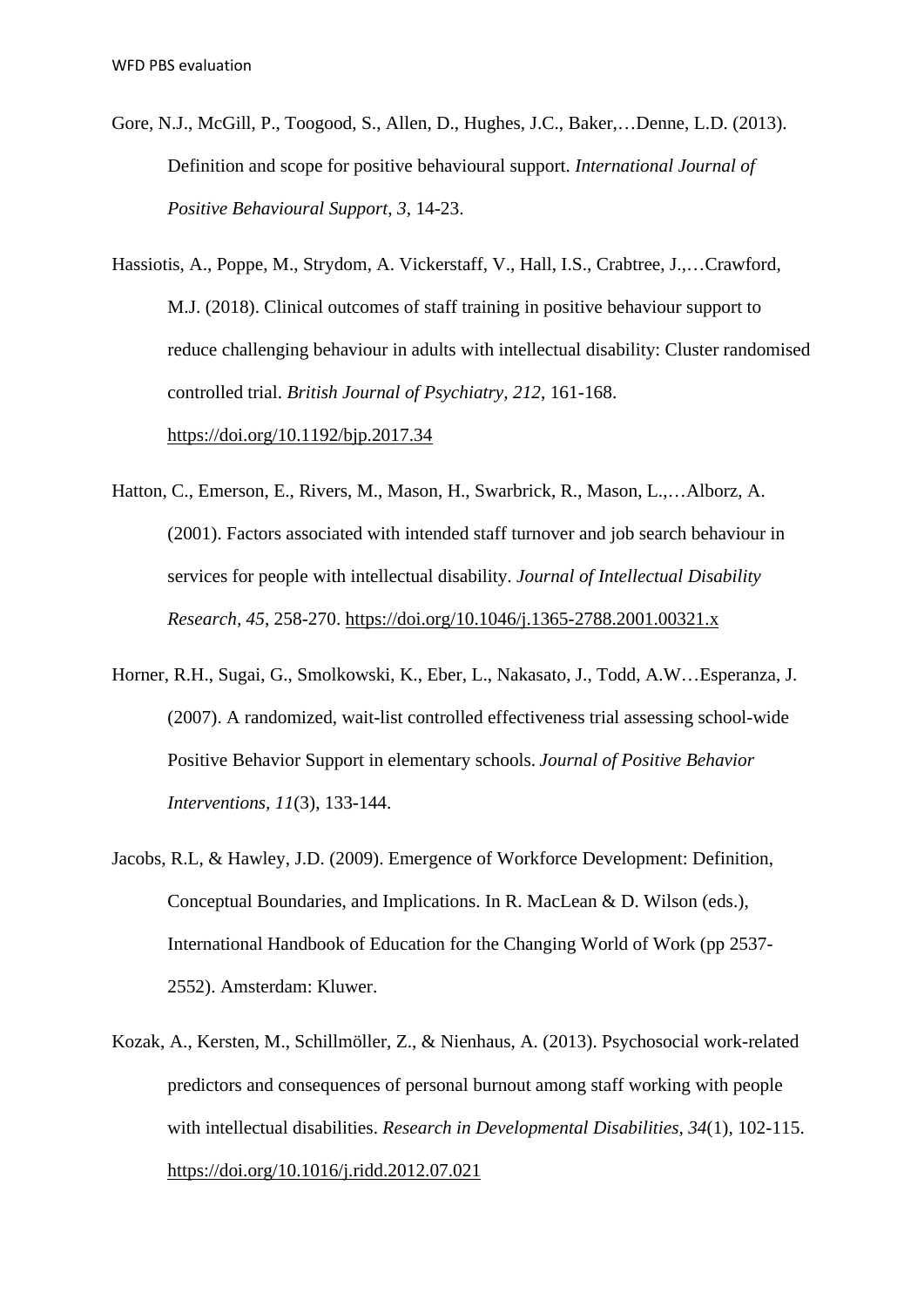- Gore, N.J., McGill, P., Toogood, S., Allen, D., Hughes, J.C., Baker,…Denne, L.D. (2013). Definition and scope for positive behavioural support. *International Journal of Positive Behavioural Support, 3*, 14-23.
- Hassiotis, A., Poppe, M., Strydom, A. Vickerstaff, V., Hall, I.S., Crabtree, J.,…Crawford, M.J. (2018). Clinical outcomes of staff training in positive behaviour support to reduce challenging behaviour in adults with intellectual disability: Cluster randomised controlled trial. *British Journal of Psychiatry, 212*, 161-168. <https://doi.org/10.1192/bjp.2017.34>
- Hatton, C., Emerson, E., Rivers, M., Mason, H., Swarbrick, R., Mason, L.,…Alborz, A. (2001). Factors associated with intended staff turnover and job search behaviour in services for people with intellectual disability. *Journal of Intellectual Disability Research, 45*, 258-270.<https://doi.org/10.1046/j.1365-2788.2001.00321.x>
- Horner, R.H., Sugai, G., Smolkowski, K., Eber, L., Nakasato, J., Todd, A.W…Esperanza, J. (2007). A randomized, wait-list controlled effectiveness trial assessing school-wide Positive Behavior Support in elementary schools. *Journal of Positive Behavior Interventions, 11*(3), 133-144.
- Jacobs, R.L, & Hawley, J.D. (2009). Emergence of Workforce Development: Definition, Conceptual Boundaries, and Implications. In R. MacLean & D. Wilson (eds.), International Handbook of Education for the Changing World of Work (pp 2537- 2552). Amsterdam: Kluwer.
- Kozak, A., Kersten, M., Schillmöller, Z., & Nienhaus, A. (2013). Psychosocial work-related predictors and consequences of personal burnout among staff working with people with intellectual disabilities. *Research in Developmental Disabilities, 34*(1), 102-115. <https://doi.org/10.1016/j.ridd.2012.07.021>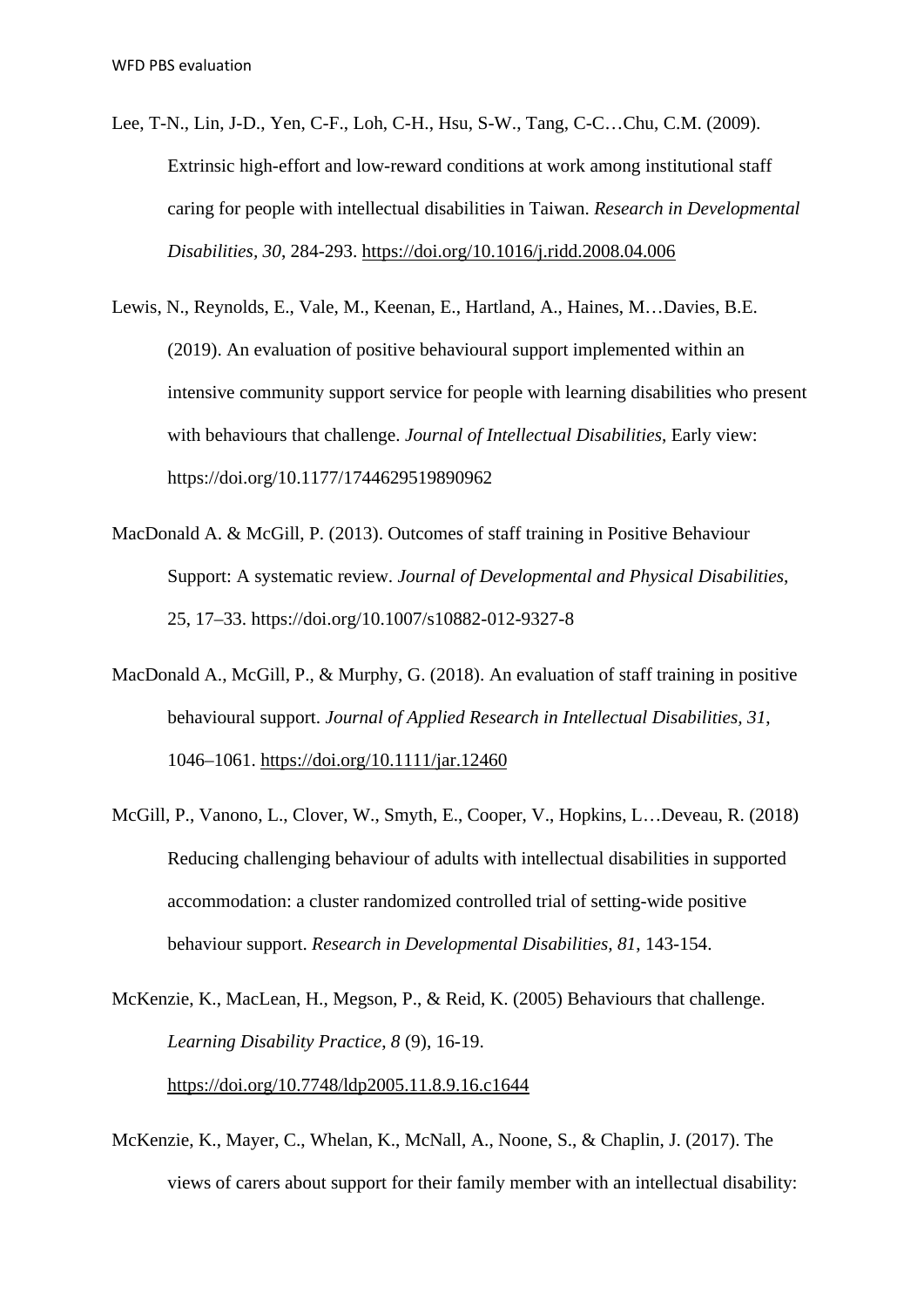- Lee, T-N., Lin, J-D., Yen, C-F., Loh, C-H., Hsu, S-W., Tang, C-C…Chu, C.M. (2009). Extrinsic high-effort and low-reward conditions at work among institutional staff caring for people with intellectual disabilities in Taiwan. *Research in Developmental Disabilities, 30*, 284-293.<https://doi.org/10.1016/j.ridd.2008.04.006>
- Lewis, N., Reynolds, E., Vale, M., Keenan, E., Hartland, A., Haines, M…Davies, B.E. (2019). An evaluation of positive behavioural support implemented within an intensive community support service for people with learning disabilities who present with behaviours that challenge. *Journal of Intellectual Disabilities*, Early view: https://doi.org/10.1177/1744629519890962
- MacDonald A. & McGill, P. (2013). Outcomes of staff training in Positive Behaviour Support: A systematic review. *Journal of Developmental and Physical Disabilities*, 25, 17–33. https://doi.org/10.1007/s10882-012-9327-8
- MacDonald A., McGill, P., & Murphy, G. (2018). An evaluation of staff training in positive behavioural support. *Journal of Applied Research in Intellectual Disabilities, 31*, 1046–1061.<https://doi.org/10.1111/jar.12460>
- McGill, P., Vanono, L., Clover, W., Smyth, E., Cooper, V., Hopkins, L…Deveau, R. (2018) Reducing challenging behaviour of adults with intellectual disabilities in supported accommodation: a cluster randomized controlled trial of setting-wide positive behaviour support. *Research in Developmental Disabilities, 81*, 143-154.
- McKenzie, K., MacLean, H., Megson, P., & Reid, K. (2005) Behaviours that challenge. *Learning Disability Practice*, *8* (9), 16-19. <https://doi.org/10.7748/ldp2005.11.8.9.16.c1644>
- McKenzie, K., Mayer, C., Whelan, K., McNall, A., Noone, S., & Chaplin, J. (2017). The views of carers about support for their family member with an intellectual disability: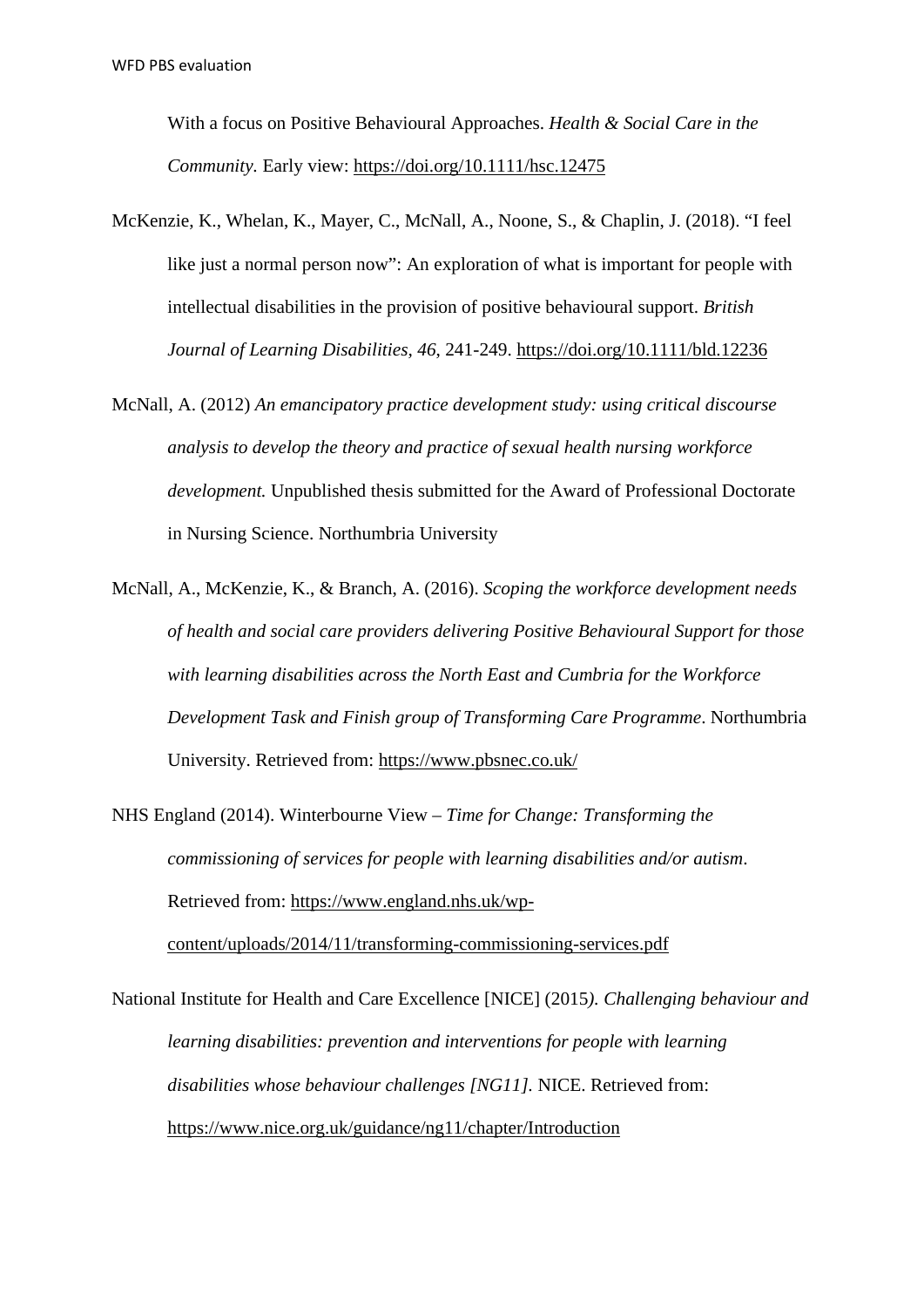With a focus on Positive Behavioural Approaches. *Health & Social Care in the Community.* Early view:<https://doi.org/10.1111/hsc.12475>

- McKenzie, K., Whelan, K., Mayer, C., McNall, A., Noone, S., & Chaplin, J. (2018). "I feel like just a normal person now": An exploration of what is important for people with intellectual disabilities in the provision of positive behavioural support. *British Journal of Learning Disabilities, 46*, 241-249.<https://doi.org/10.1111/bld.12236>
- McNall, A. (2012) *An emancipatory practice development study: using critical discourse analysis to develop the theory and practice of sexual health nursing workforce development.* Unpublished thesis submitted for the Award of Professional Doctorate in Nursing Science. Northumbria University
- McNall, A., McKenzie, K., & Branch, A. (2016). *Scoping the workforce development needs of health and social care providers delivering Positive Behavioural Support for those with learning disabilities across the North East and Cumbria for the Workforce Development Task and Finish group of Transforming Care Programme*. Northumbria University. Retrieved from:<https://www.pbsnec.co.uk/>
- NHS England (2014). Winterbourne View *Time for Change: Transforming the commissioning of services for people with learning disabilities and/or autism*. Retrieved from: [https://www.england.nhs.uk/wp](https://www.england.nhs.uk/wp-content/uploads/2014/11/transforming-commissioning-services.pdf)[content/uploads/2014/11/transforming-commissioning-services.pdf](https://www.england.nhs.uk/wp-content/uploads/2014/11/transforming-commissioning-services.pdf)

National Institute for Health and Care Excellence [NICE] (2015*). Challenging behaviour and learning disabilities: prevention and interventions for people with learning disabilities whose behaviour challenges [NG11].* NICE. Retrieved from: <https://www.nice.org.uk/guidance/ng11/chapter/Introduction>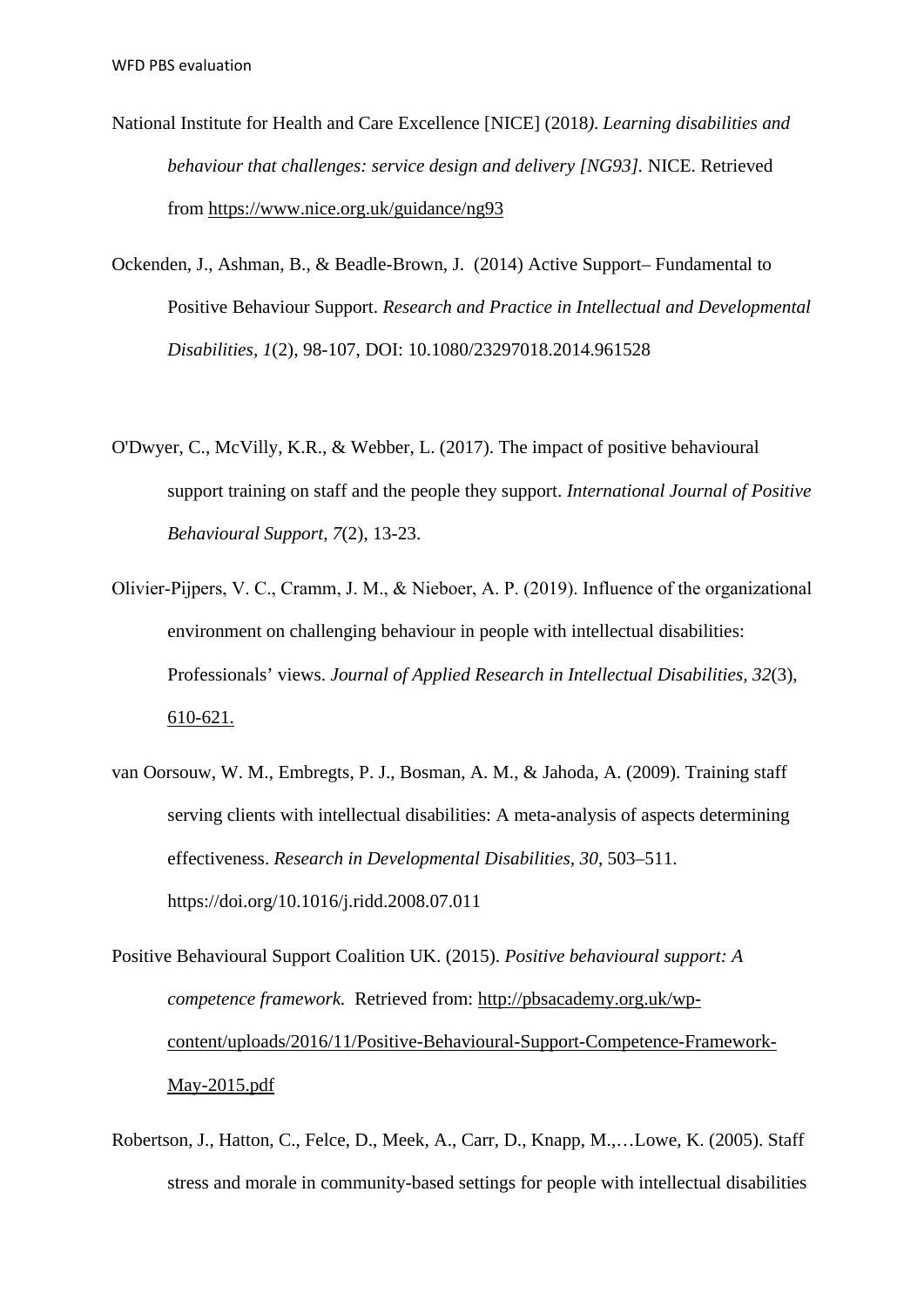- National Institute for Health and Care Excellence [NICE] (2018*). Learning disabilities and behaviour that challenges: service design and delivery [NG93].* NICE. Retrieved from<https://www.nice.org.uk/guidance/ng93>
- Ockenden, J., Ashman, B., & Beadle-Brown, J. (2014) Active Support– Fundamental to Positive Behaviour Support. *Research and Practice in Intellectual and Developmental Disabilities, 1*(2), 98-107, DOI: 10.1080/23297018.2014.961528
- O'Dwyer, C., McVilly, K.R., & Webber, L. (2017). The impact of positive behavioural support training on staff and the people they support. *International Journal of Positive Behavioural Support*, *7*(2), 13-23.
- Olivier‐Pijpers, V. C., Cramm, J. M., & Nieboer, A. P. (2019). Influence of the organizational environment on challenging behaviour in people with intellectual disabilities: Professionals' views. *Journal of Applied Research in Intellectual Disabilities, 32*(3), 610-621.
- van Oorsouw, W. M., Embregts, P. J., Bosman, A. M., & Jahoda, A. (2009). Training staff serving clients with intellectual disabilities: A meta-analysis of aspects determining effectiveness. *Research in Developmental Disabilities, 30*, 503–511. https://doi.org/10.1016/j.ridd.2008.07.011
- Positive Behavioural Support Coalition UK. (2015). *Positive behavioural support: A competence framework.* Retrieved from: [http://pbsacademy.org.uk/wp](http://pbsacademy.org.uk/wp-content/uploads/2016/11/Positive-Behavioural-Support-Competence-Framework-May-2015.pdf)[content/uploads/2016/11/Positive-Behavioural-Support-Competence-Framework-](http://pbsacademy.org.uk/wp-content/uploads/2016/11/Positive-Behavioural-Support-Competence-Framework-May-2015.pdf)[May-2015.pdf](http://pbsacademy.org.uk/wp-content/uploads/2016/11/Positive-Behavioural-Support-Competence-Framework-May-2015.pdf)
- Robertson, J., Hatton, C., Felce, D., Meek, A., Carr, D., Knapp, M.,…Lowe, K. (2005). Staff stress and morale in community-based settings for people with intellectual disabilities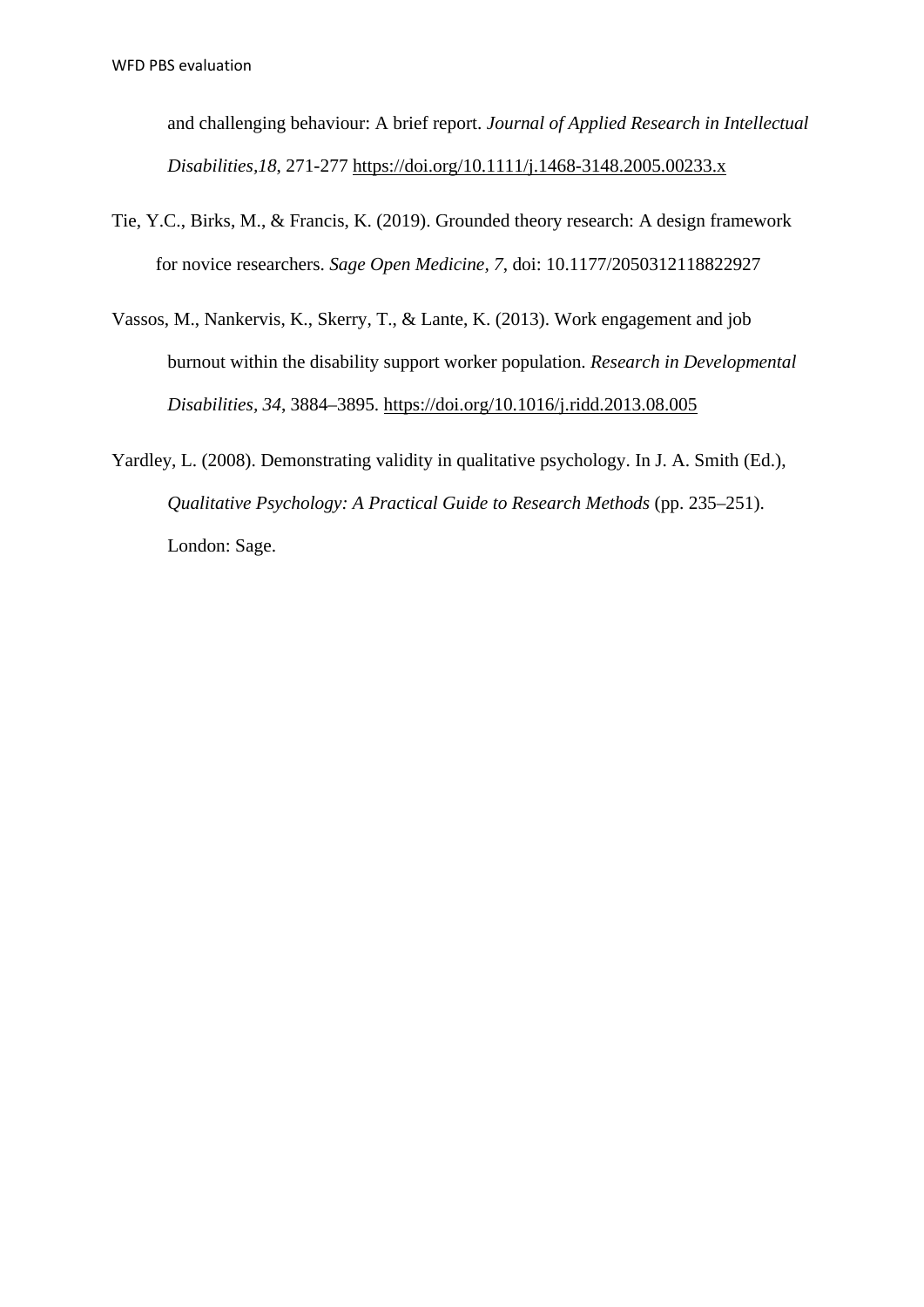and challenging behaviour: A brief report. *Journal of Applied Research in Intellectual Disabilities,18*, 271-277<https://doi.org/10.1111/j.1468-3148.2005.00233.x>

- Tie, Y.C., Birks, M., & Francis, K. (2019). Grounded theory research: A design framework for novice researchers. *Sage Open Medicine, 7*, doi: 10.1177/2050312118822927
- Vassos, M., Nankervis, K., Skerry, T., & Lante, K. (2013). Work engagement and job burnout within the disability support worker population. *Research in Developmental Disabilities, 34*, 3884–3895.<https://doi.org/10.1016/j.ridd.2013.08.005>
- Yardley, L. (2008). Demonstrating validity in qualitative psychology. In J. A. Smith (Ed.), *Qualitative Psychology: A Practical Guide to Research Methods* (pp. 235–251). London: Sage.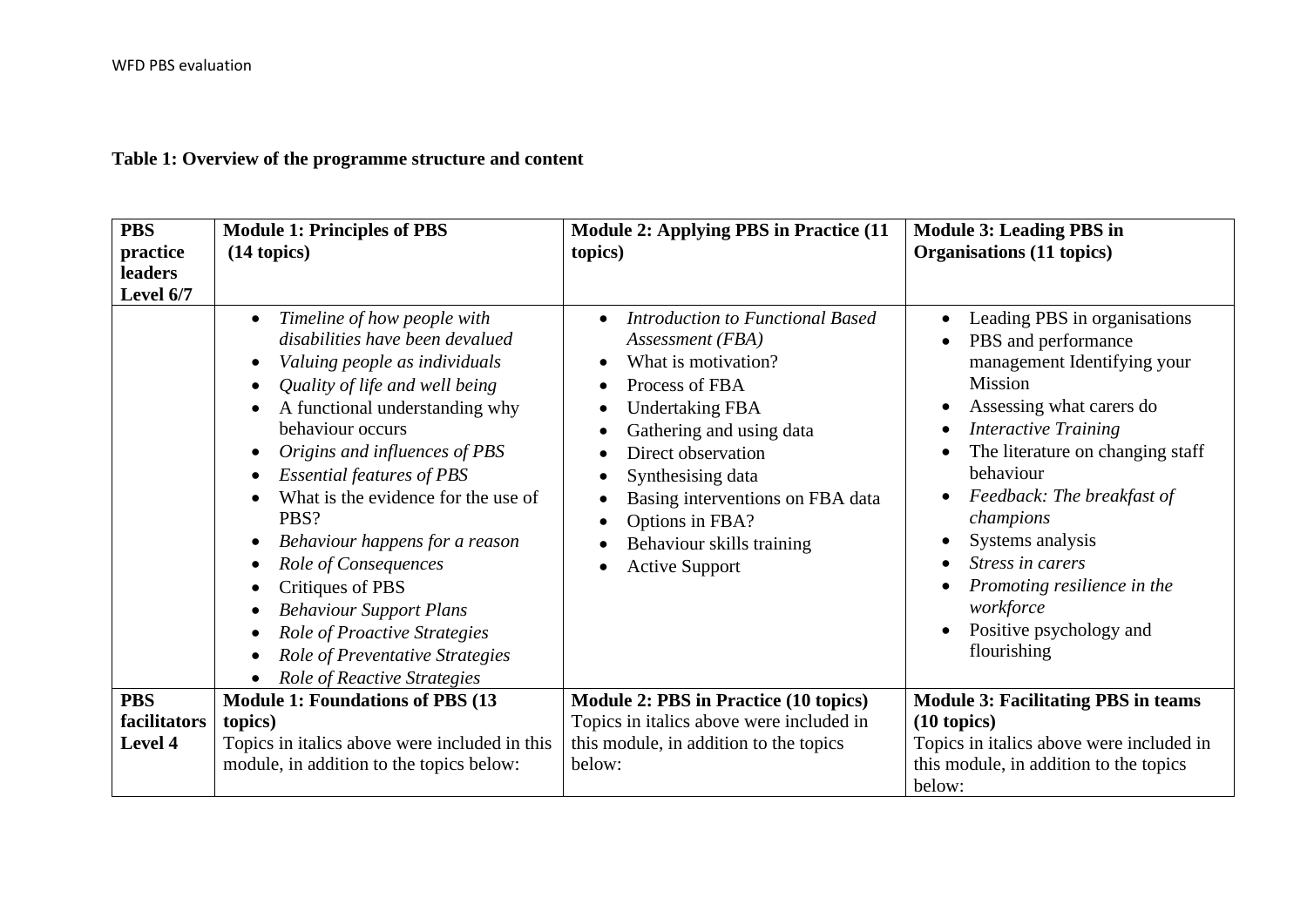# **Table 1: Overview of the programme structure and content**

| <b>PBS</b><br>practice<br>leaders<br>Level 6/7 | <b>Module 1: Principles of PBS</b><br>(14 topics)                                                                                                                                                                                                                                                                                                                                                                                                                                                                                                                                                                                                               | <b>Module 2: Applying PBS in Practice (11)</b><br>topics)                                                                                                                                                                                                                                                                | <b>Module 3: Leading PBS in</b><br>Organisations (11 topics)                                                                                                                                                                                                                                                                                                                                                                                                            |
|------------------------------------------------|-----------------------------------------------------------------------------------------------------------------------------------------------------------------------------------------------------------------------------------------------------------------------------------------------------------------------------------------------------------------------------------------------------------------------------------------------------------------------------------------------------------------------------------------------------------------------------------------------------------------------------------------------------------------|--------------------------------------------------------------------------------------------------------------------------------------------------------------------------------------------------------------------------------------------------------------------------------------------------------------------------|-------------------------------------------------------------------------------------------------------------------------------------------------------------------------------------------------------------------------------------------------------------------------------------------------------------------------------------------------------------------------------------------------------------------------------------------------------------------------|
|                                                | Timeline of how people with<br>$\bullet$<br>disabilities have been devalued<br>Valuing people as individuals<br>$\bullet$<br>Quality of life and well being<br>$\bullet$<br>A functional understanding why<br>behaviour occurs<br>Origins and influences of PBS<br>$\bullet$<br><b>Essential features of PBS</b><br>$\bullet$<br>What is the evidence for the use of<br>PBS?<br>Behaviour happens for a reason<br>$\bullet$<br>Role of Consequences<br>Critiques of PBS<br>$\bullet$<br><b>Behaviour Support Plans</b><br>$\bullet$<br>Role of Proactive Strategies<br>$\bullet$<br>Role of Preventative Strategies<br>$\bullet$<br>Role of Reactive Strategies | Introduction to Functional Based<br>$\bullet$<br>Assessment (FBA)<br>What is motivation?<br>Process of FBA<br><b>Undertaking FBA</b><br>Gathering and using data<br>Direct observation<br>Synthesising data<br>Basing interventions on FBA data<br>Options in FBA?<br>Behaviour skills training<br><b>Active Support</b> | Leading PBS in organisations<br>$\bullet$<br>PBS and performance<br>$\bullet$<br>management Identifying your<br><b>Mission</b><br>Assessing what carers do<br>$\bullet$<br><b>Interactive Training</b><br>$\bullet$<br>The literature on changing staff<br>behaviour<br>Feedback: The breakfast of<br>$\bullet$<br>champions<br>Systems analysis<br>Stress in carers<br>Promoting resilience in the<br>workforce<br>Positive psychology and<br>$\bullet$<br>flourishing |
| <b>PBS</b>                                     | <b>Module 1: Foundations of PBS (13)</b>                                                                                                                                                                                                                                                                                                                                                                                                                                                                                                                                                                                                                        | Module 2: PBS in Practice (10 topics)                                                                                                                                                                                                                                                                                    | <b>Module 3: Facilitating PBS in teams</b>                                                                                                                                                                                                                                                                                                                                                                                                                              |
| facilitators                                   | topics)                                                                                                                                                                                                                                                                                                                                                                                                                                                                                                                                                                                                                                                         | Topics in italics above were included in                                                                                                                                                                                                                                                                                 | $(10 \text{ topics})$                                                                                                                                                                                                                                                                                                                                                                                                                                                   |
| Level 4                                        | Topics in italics above were included in this                                                                                                                                                                                                                                                                                                                                                                                                                                                                                                                                                                                                                   | this module, in addition to the topics                                                                                                                                                                                                                                                                                   | Topics in italics above were included in                                                                                                                                                                                                                                                                                                                                                                                                                                |
|                                                | module, in addition to the topics below:                                                                                                                                                                                                                                                                                                                                                                                                                                                                                                                                                                                                                        | below:                                                                                                                                                                                                                                                                                                                   | this module, in addition to the topics<br>below:                                                                                                                                                                                                                                                                                                                                                                                                                        |